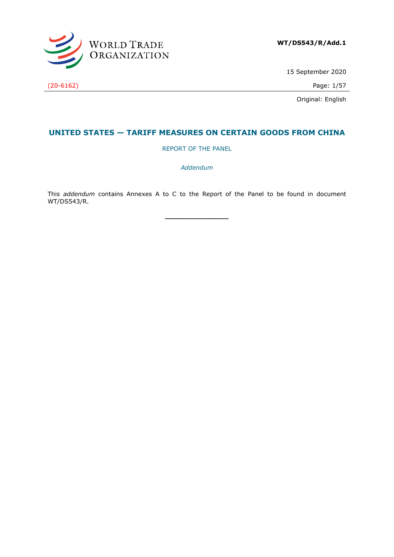

15 September 2020

Original: English

# **UNITED STATES — TARIFF MEASURES ON CERTAIN GOODS FROM CHINA**

REPORT OF THE PANEL

*Addendum*

This *addendum* contains Annexes A to C to the Report of the Panel to be found in document WT/DS543/R.

**\_\_\_\_\_\_\_\_\_\_\_\_\_\_\_**

(20-6162) Page: 1/57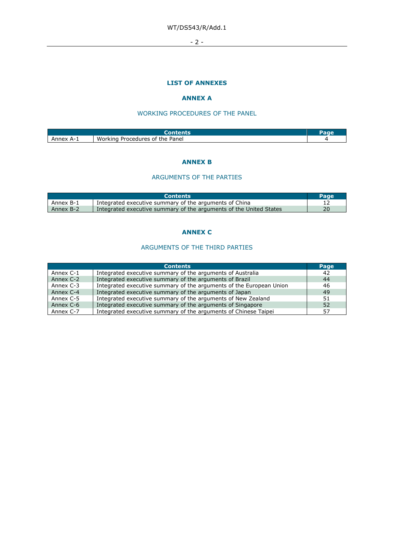$-2 -$ 

# **LIST OF ANNEXES**

# **ANNEX A**

# WORKING PROCEDURES OF THE PANEL

| Annex<br>Д- | Working<br>the Panel<br>. Procedures of |  |
|-------------|-----------------------------------------|--|

#### **ANNEX B**

# ARGUMENTS OF THE PARTIES

|           | <b>Contents</b>                                                    | <b>Page</b> |
|-----------|--------------------------------------------------------------------|-------------|
| Annex B-1 | Integrated executive summary of the arguments of China             |             |
| Annex B-2 | Integrated executive summary of the arguments of the United States | 20          |

# **ANNEX C**

# ARGUMENTS OF THE THIRD PARTIES

|           | <b>Contents</b>                                                     | Page |
|-----------|---------------------------------------------------------------------|------|
| Annex C-1 | Integrated executive summary of the arguments of Australia          | 42   |
| Annex C-2 | Integrated executive summary of the arguments of Brazil             | 44   |
| Annex C-3 | Integrated executive summary of the arguments of the European Union | 46   |
| Annex C-4 | Integrated executive summary of the arguments of Japan              | 49   |
| Annex C-5 | Integrated executive summary of the arguments of New Zealand        | 51   |
| Annex C-6 | Integrated executive summary of the arguments of Singapore          | 52   |
| Annex C-7 | Integrated executive summary of the arguments of Chinese Taipei     | 57   |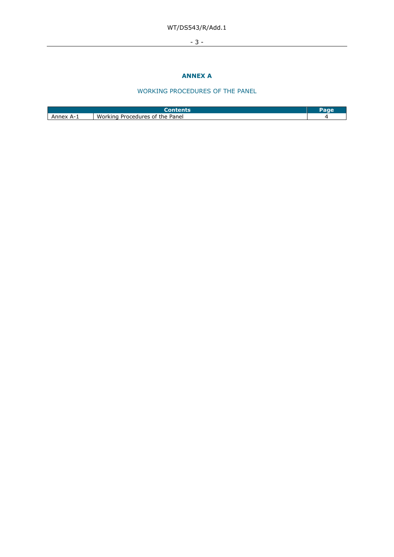# WT/DS543/R/Add.1

- 3 -

# **ANNEX A**

# WORKING PROCEDURES OF THE PANEL

| Anney<br>$\Delta$ - | Working<br>Panel<br>the<br>Procedures of |  |
|---------------------|------------------------------------------|--|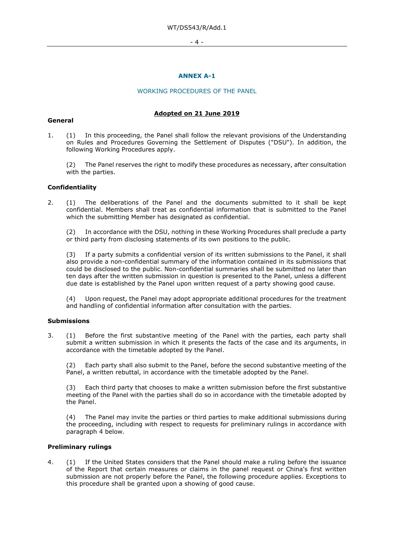- 4 -

# **ANNEX A-1**

#### WORKING PROCEDURES OF THE PANEL

#### **Adopted on 21 June 2019**

#### **General**

1. (1) In this proceeding, the Panel shall follow the relevant provisions of the Understanding on Rules and Procedures Governing the Settlement of Disputes ("DSU"). In addition, the following Working Procedures apply.

The Panel reserves the right to modify these procedures as necessary, after consultation with the parties.

#### **Confidentiality**

2. (1) The deliberations of the Panel and the documents submitted to it shall be kept confidential. Members shall treat as confidential information that is submitted to the Panel which the submitting Member has designated as confidential.

In accordance with the DSU, nothing in these Working Procedures shall preclude a party or third party from disclosing statements of its own positions to the public.

(3) If a party submits a confidential version of its written submissions to the Panel, it shall also provide a non-confidential summary of the information contained in its submissions that could be disclosed to the public. Non-confidential summaries shall be submitted no later than ten days after the written submission in question is presented to the Panel, unless a different due date is established by the Panel upon written request of a party showing good cause.

Upon request, the Panel may adopt appropriate additional procedures for the treatment and handling of confidential information after consultation with the parties.

#### **Submissions**

3. (1) Before the first substantive meeting of the Panel with the parties, each party shall submit a written submission in which it presents the facts of the case and its arguments, in accordance with the timetable adopted by the Panel.

(2) Each party shall also submit to the Panel, before the second substantive meeting of the Panel, a written rebuttal, in accordance with the timetable adopted by the Panel.

Each third party that chooses to make a written submission before the first substantive meeting of the Panel with the parties shall do so in accordance with the timetable adopted by the Panel.

(4) The Panel may invite the parties or third parties to make additional submissions during the proceeding, including with respect to requests for preliminary rulings in accordance with paragraph 4 below.

#### **Preliminary rulings**

4. (1) If the United States considers that the Panel should make a ruling before the issuance of the Report that certain measures or claims in the panel request or China's first written submission are not properly before the Panel, the following procedure applies. Exceptions to this procedure shall be granted upon a showing of good cause.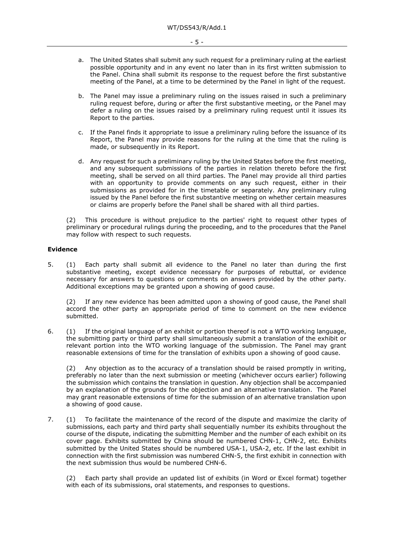- a. The United States shall submit any such request for a preliminary ruling at the earliest possible opportunity and in any event no later than in its first written submission to the Panel. China shall submit its response to the request before the first substantive meeting of the Panel, at a time to be determined by the Panel in light of the request.
- b. The Panel may issue a preliminary ruling on the issues raised in such a preliminary ruling request before, during or after the first substantive meeting, or the Panel may defer a ruling on the issues raised by a preliminary ruling request until it issues its Report to the parties.
- c. If the Panel finds it appropriate to issue a preliminary ruling before the issuance of its Report, the Panel may provide reasons for the ruling at the time that the ruling is made, or subsequently in its Report.
- d. Any request for such a preliminary ruling by the United States before the first meeting, and any subsequent submissions of the parties in relation thereto before the first meeting, shall be served on all third parties. The Panel may provide all third parties with an opportunity to provide comments on any such request, either in their submissions as provided for in the timetable or separately. Any preliminary ruling issued by the Panel before the first substantive meeting on whether certain measures or claims are properly before the Panel shall be shared with all third parties.

(2) This procedure is without prejudice to the parties' right to request other types of preliminary or procedural rulings during the proceeding, and to the procedures that the Panel may follow with respect to such requests.

#### **Evidence**

5. (1) Each party shall submit all evidence to the Panel no later than during the first substantive meeting, except evidence necessary for purposes of rebuttal, or evidence necessary for answers to questions or comments on answers provided by the other party. Additional exceptions may be granted upon a showing of good cause.

(2) If any new evidence has been admitted upon a showing of good cause, the Panel shall accord the other party an appropriate period of time to comment on the new evidence submitted.

6. (1) If the original language of an exhibit or portion thereof is not a WTO working language, the submitting party or third party shall simultaneously submit a translation of the exhibit or relevant portion into the WTO working language of the submission. The Panel may grant reasonable extensions of time for the translation of exhibits upon a showing of good cause.

(2) Any objection as to the accuracy of a translation should be raised promptly in writing, preferably no later than the next submission or meeting (whichever occurs earlier) following the submission which contains the translation in question. Any objection shall be accompanied by an explanation of the grounds for the objection and an alternative translation. The Panel may grant reasonable extensions of time for the submission of an alternative translation upon a showing of good cause.

7. (1) To facilitate the maintenance of the record of the dispute and maximize the clarity of submissions, each party and third party shall sequentially number its exhibits throughout the course of the dispute, indicating the submitting Member and the number of each exhibit on its cover page. Exhibits submitted by China should be numbered CHN-1, CHN-2, etc. Exhibits submitted by the United States should be numbered USA-1, USA-2, etc. If the last exhibit in connection with the first submission was numbered CHN-5, the first exhibit in connection with the next submission thus would be numbered CHN-6.

(2) Each party shall provide an updated list of exhibits (in Word or Excel format) together with each of its submissions, oral statements, and responses to questions.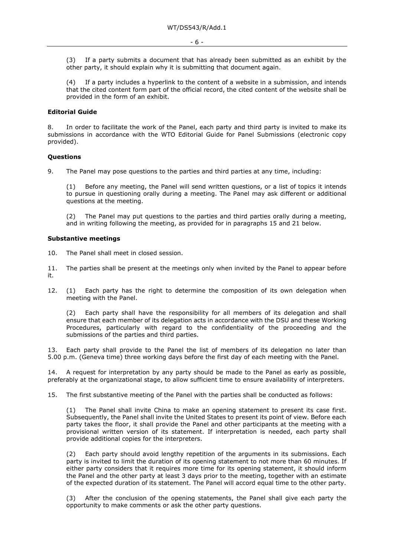(3) If a party submits a document that has already been submitted as an exhibit by the other party, it should explain why it is submitting that document again.

(4) If a party includes a hyperlink to the content of a website in a submission, and intends that the cited content form part of the official record, the cited content of the website shall be provided in the form of an exhibit.

# **Editorial Guide**

8. In order to facilitate the work of the Panel, each party and third party is invited to make its submissions in accordance with the WTO Editorial Guide for Panel Submissions (electronic copy provided).

#### **Questions**

9. The Panel may pose questions to the parties and third parties at any time, including:

(1) Before any meeting, the Panel will send written questions, or a list of topics it intends to pursue in questioning orally during a meeting. The Panel may ask different or additional questions at the meeting.

(2) The Panel may put questions to the parties and third parties orally during a meeting, and in writing following the meeting, as provided for in paragraphs 15 and 21 below.

#### **Substantive meetings**

10. The Panel shall meet in closed session.

11. The parties shall be present at the meetings only when invited by the Panel to appear before it.

12. (1) Each party has the right to determine the composition of its own delegation when meeting with the Panel.

(2) Each party shall have the responsibility for all members of its delegation and shall ensure that each member of its delegation acts in accordance with the DSU and these Working Procedures, particularly with regard to the confidentiality of the proceeding and the submissions of the parties and third parties.

13. Each party shall provide to the Panel the list of members of its delegation no later than 5.00 p.m. (Geneva time) three working days before the first day of each meeting with the Panel.

14. A request for interpretation by any party should be made to the Panel as early as possible, preferably at the organizational stage, to allow sufficient time to ensure availability of interpreters.

15. The first substantive meeting of the Panel with the parties shall be conducted as follows:

(1) The Panel shall invite China to make an opening statement to present its case first. Subsequently, the Panel shall invite the United States to present its point of view. Before each party takes the floor, it shall provide the Panel and other participants at the meeting with a provisional written version of its statement. If interpretation is needed, each party shall provide additional copies for the interpreters.

(2) Each party should avoid lengthy repetition of the arguments in its submissions. Each party is invited to limit the duration of its opening statement to not more than 60 minutes. If either party considers that it requires more time for its opening statement, it should inform the Panel and the other party at least 3 days prior to the meeting, together with an estimate of the expected duration of its statement. The Panel will accord equal time to the other party.

(3) After the conclusion of the opening statements, the Panel shall give each party the opportunity to make comments or ask the other party questions.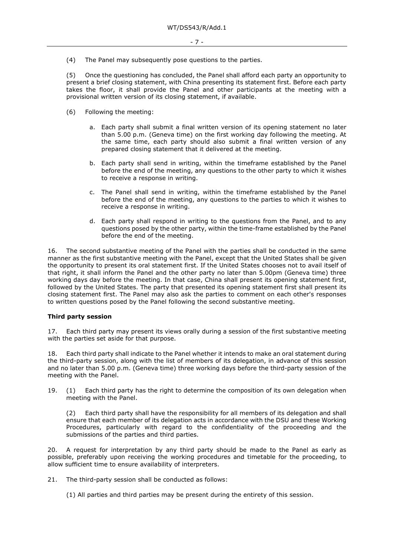(4) The Panel may subsequently pose questions to the parties.

(5) Once the questioning has concluded, the Panel shall afford each party an opportunity to present a brief closing statement, with China presenting its statement first. Before each party takes the floor, it shall provide the Panel and other participants at the meeting with a provisional written version of its closing statement, if available.

- (6) Following the meeting:
	- a. Each party shall submit a final written version of its opening statement no later than 5.00 p.m. (Geneva time) on the first working day following the meeting. At the same time, each party should also submit a final written version of any prepared closing statement that it delivered at the meeting.
	- b. Each party shall send in writing, within the timeframe established by the Panel before the end of the meeting, any questions to the other party to which it wishes to receive a response in writing.
	- c. The Panel shall send in writing, within the timeframe established by the Panel before the end of the meeting, any questions to the parties to which it wishes to receive a response in writing.
	- d. Each party shall respond in writing to the questions from the Panel, and to any questions posed by the other party, within the time-frame established by the Panel before the end of the meeting.

16. The second substantive meeting of the Panel with the parties shall be conducted in the same manner as the first substantive meeting with the Panel, except that the United States shall be given the opportunity to present its oral statement first. If the United States chooses not to avail itself of that right, it shall inform the Panel and the other party no later than 5.00pm (Geneva time) three working days day before the meeting. In that case, China shall present its opening statement first, followed by the United States. The party that presented its opening statement first shall present its closing statement first. The Panel may also ask the parties to comment on each other's responses to written questions posed by the Panel following the second substantive meeting.

#### **Third party session**

17. Each third party may present its views orally during a session of the first substantive meeting with the parties set aside for that purpose.

18. Each third party shall indicate to the Panel whether it intends to make an oral statement during the third-party session, along with the list of members of its delegation, in advance of this session and no later than 5.00 p.m. (Geneva time) three working days before the third-party session of the meeting with the Panel.

19. (1) Each third party has the right to determine the composition of its own delegation when meeting with the Panel.

(2) Each third party shall have the responsibility for all members of its delegation and shall ensure that each member of its delegation acts in accordance with the DSU and these Working Procedures, particularly with regard to the confidentiality of the proceeding and the submissions of the parties and third parties.

20. A request for interpretation by any third party should be made to the Panel as early as possible, preferably upon receiving the working procedures and timetable for the proceeding, to allow sufficient time to ensure availability of interpreters.

21. The third-party session shall be conducted as follows:

(1) All parties and third parties may be present during the entirety of this session.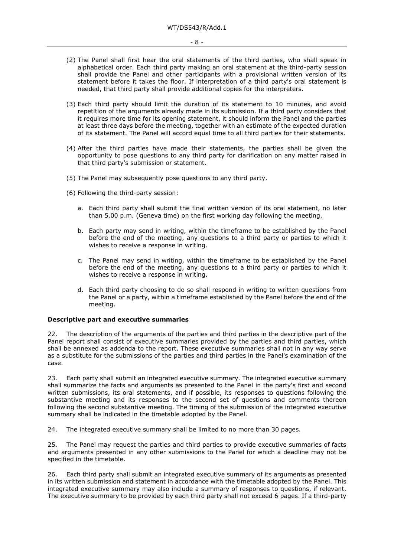- (2) The Panel shall first hear the oral statements of the third parties, who shall speak in alphabetical order. Each third party making an oral statement at the third-party session shall provide the Panel and other participants with a provisional written version of its statement before it takes the floor. If interpretation of a third party's oral statement is needed, that third party shall provide additional copies for the interpreters.
- (3) Each third party should limit the duration of its statement to 10 minutes, and avoid repetition of the arguments already made in its submission. If a third party considers that it requires more time for its opening statement, it should inform the Panel and the parties at least three days before the meeting, together with an estimate of the expected duration of its statement. The Panel will accord equal time to all third parties for their statements.
- (4) After the third parties have made their statements, the parties shall be given the opportunity to pose questions to any third party for clarification on any matter raised in that third party's submission or statement.
- (5) The Panel may subsequently pose questions to any third party.
- (6) Following the third-party session:
	- a. Each third party shall submit the final written version of its oral statement, no later than 5.00 p.m. (Geneva time) on the first working day following the meeting.
	- b. Each party may send in writing, within the timeframe to be established by the Panel before the end of the meeting, any questions to a third party or parties to which it wishes to receive a response in writing.
	- c. The Panel may send in writing, within the timeframe to be established by the Panel before the end of the meeting, any questions to a third party or parties to which it wishes to receive a response in writing.
	- d. Each third party choosing to do so shall respond in writing to written questions from the Panel or a party, within a timeframe established by the Panel before the end of the meeting.

#### **Descriptive part and executive summaries**

22. The description of the arguments of the parties and third parties in the descriptive part of the Panel report shall consist of executive summaries provided by the parties and third parties, which shall be annexed as addenda to the report. These executive summaries shall not in any way serve as a substitute for the submissions of the parties and third parties in the Panel's examination of the case.

23. Each party shall submit an integrated executive summary. The integrated executive summary shall summarize the facts and arguments as presented to the Panel in the party's first and second written submissions, its oral statements, and if possible, its responses to questions following the substantive meeting and its responses to the second set of questions and comments thereon following the second substantive meeting. The timing of the submission of the integrated executive summary shall be indicated in the timetable adopted by the Panel.

24. The integrated executive summary shall be limited to no more than 30 pages.

25. The Panel may request the parties and third parties to provide executive summaries of facts and arguments presented in any other submissions to the Panel for which a deadline may not be specified in the timetable.

26. Each third party shall submit an integrated executive summary of its arguments as presented in its written submission and statement in accordance with the timetable adopted by the Panel. This integrated executive summary may also include a summary of responses to questions, if relevant. The executive summary to be provided by each third party shall not exceed 6 pages. If a third-party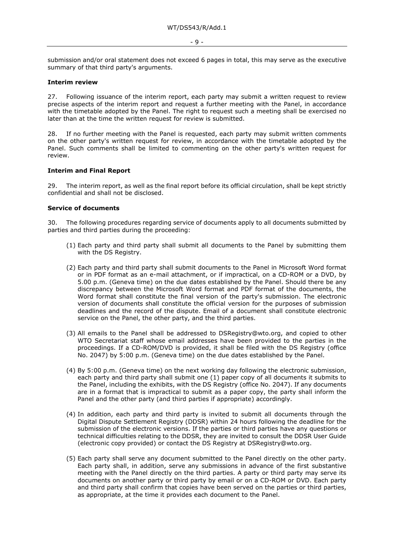- 9 -

submission and/or oral statement does not exceed 6 pages in total, this may serve as the executive summary of that third party's arguments.

#### **Interim review**

27. Following issuance of the interim report, each party may submit a written request to review precise aspects of the interim report and request a further meeting with the Panel, in accordance with the timetable adopted by the Panel. The right to request such a meeting shall be exercised no later than at the time the written request for review is submitted.

28. If no further meeting with the Panel is requested, each party may submit written comments on the other party's written request for review, in accordance with the timetable adopted by the Panel. Such comments shall be limited to commenting on the other party's written request for review.

#### **Interim and Final Report**

29. The interim report, as well as the final report before its official circulation, shall be kept strictly confidential and shall not be disclosed.

#### **Service of documents**

30. The following procedures regarding service of documents apply to all documents submitted by parties and third parties during the proceeding:

- (1) Each party and third party shall submit all documents to the Panel by submitting them with the DS Registry.
- (2) Each party and third party shall submit documents to the Panel in Microsoft Word format or in PDF format as an e-mail attachment, or if impractical, on a CD-ROM or a DVD, by 5.00 p.m. (Geneva time) on the due dates established by the Panel. Should there be any discrepancy between the Microsoft Word format and PDF format of the documents, the Word format shall constitute the final version of the party's submission. The electronic version of documents shall constitute the official version for the purposes of submission deadlines and the record of the dispute. Email of a document shall constitute electronic service on the Panel, the other party, and the third parties.
- (3) All emails to the Panel shall be addressed to DSRegistry@wto.org, and copied to other WTO Secretariat staff whose email addresses have been provided to the parties in the proceedings. If a CD-ROM/DVD is provided, it shall be filed with the DS Registry (office No. 2047) by 5:00 p.m. (Geneva time) on the due dates established by the Panel.
- (4) By 5:00 p.m. (Geneva time) on the next working day following the electronic submission, each party and third party shall submit one (1) paper copy of all documents it submits to the Panel, including the exhibits, with the DS Registry (office No. 2047). If any documents are in a format that is impractical to submit as a paper copy, the party shall inform the Panel and the other party (and third parties if appropriate) accordingly.
- (4) In addition, each party and third party is invited to submit all documents through the Digital Dispute Settlement Registry (DDSR) within 24 hours following the deadline for the submission of the electronic versions. If the parties or third parties have any questions or technical difficulties relating to the DDSR, they are invited to consult the DDSR User Guide (electronic copy provided) or contact the DS Registry at DSRegistry@wto.org.
- (5) Each party shall serve any document submitted to the Panel directly on the other party. Each party shall, in addition, serve any submissions in advance of the first substantive meeting with the Panel directly on the third parties. A party or third party may serve its documents on another party or third party by email or on a CD-ROM or DVD. Each party and third party shall confirm that copies have been served on the parties or third parties, as appropriate, at the time it provides each document to the Panel.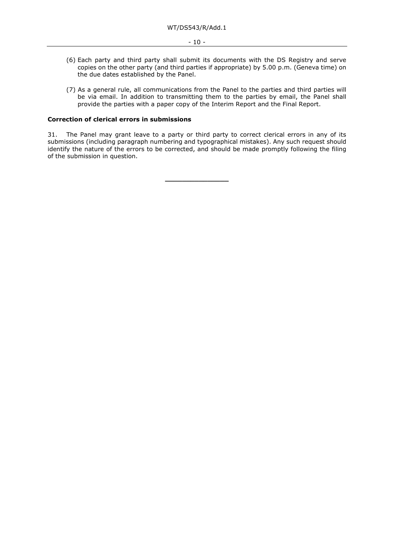- (6) Each party and third party shall submit its documents with the DS Registry and serve copies on the other party (and third parties if appropriate) by 5.00 p.m. (Geneva time) on the due dates established by the Panel.
- (7) As a general rule, all communications from the Panel to the parties and third parties will be via email. In addition to transmitting them to the parties by email, the Panel shall provide the parties with a paper copy of the Interim Report and the Final Report.

# **Correction of clerical errors in submissions**

31. The Panel may grant leave to a party or third party to correct clerical errors in any of its submissions (including paragraph numbering and typographical mistakes). Any such request should identify the nature of the errors to be corrected, and should be made promptly following the filing of the submission in question.

**\_\_\_\_\_\_\_\_\_\_\_\_\_\_\_**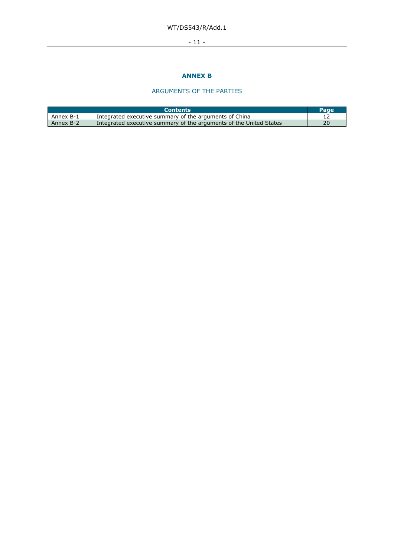# WT/DS543/R/Add.1

# - 11 -

# **ANNEX B**

# ARGUMENTS OF THE PARTIES

|           | <b>Contents</b>                                                    | Page |
|-----------|--------------------------------------------------------------------|------|
| Annex B-1 | Integrated executive summary of the arguments of China             |      |
| Annex B-2 | Integrated executive summary of the arguments of the United States | 20   |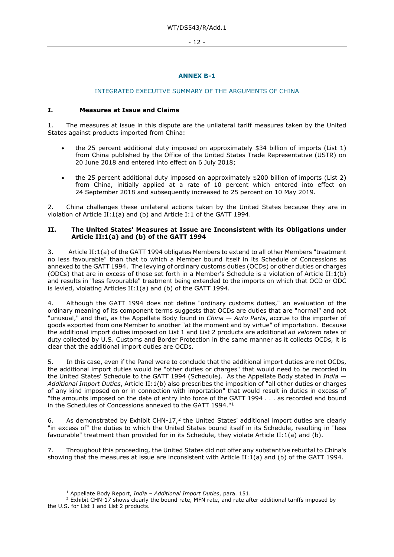- 12 -

# **ANNEX B-1**

# INTEGRATED EXECUTIVE SUMMARY OF THE ARGUMENTS OF CHINA

### **I. Measures at Issue and Claims**

1. The measures at issue in this dispute are the unilateral tariff measures taken by the United States against products imported from China:

- the 25 percent additional duty imposed on approximately \$34 billion of imports (List 1) from China published by the Office of the United States Trade Representative (USTR) on 20 June 2018 and entered into effect on 6 July 2018;
- the 25 percent additional duty imposed on approximately \$200 billion of imports (List 2) from China, initially applied at a rate of 10 percent which entered into effect on 24 September 2018 and subsequently increased to 25 percent on 10 May 2019.

2. China challenges these unilateral actions taken by the United States because they are in violation of Article II:1(a) and (b) and Article I:1 of the GATT 1994.

#### **II. The United States' Measures at Issue are Inconsistent with its Obligations under Article II:1(a) and (b) of the GATT 1994**

3. Article II:1(a) of the GATT 1994 obligates Members to extend to all other Members "treatment no less favourable" than that to which a Member bound itself in its Schedule of Concessions as annexed to the GATT 1994. The levying of ordinary customs duties (OCDs) or other duties or charges (ODCs) that are in excess of those set forth in a Member's Schedule is a violation of Article II:1(b) and results in "less favourable" treatment being extended to the imports on which that OCD or ODC is levied, violating Articles II:1(a) and (b) of the GATT 1994.

4. Although the GATT 1994 does not define "ordinary customs duties," an evaluation of the ordinary meaning of its component terms suggests that OCDs are duties that are "normal" and not "unusual," and that, as the Appellate Body found in *China — Auto Parts*, accrue to the importer of goods exported from one Member to another "at the moment and by virtue" of importation. Because the additional import duties imposed on List 1 and List 2 products are additional *ad valorem* rates of duty collected by U.S. Customs and Border Protection in the same manner as it collects OCDs, it is clear that the additional import duties are OCDs.

5. In this case, even if the Panel were to conclude that the additional import duties are not OCDs, the additional import duties would be "other duties or charges" that would need to be recorded in the United States' Schedule to the GATT 1994 (Schedule). As the Appellate Body stated in *India — Additional Import Duties*, Article II:1(b) also prescribes the imposition of "all other duties or charges of any kind imposed on or in connection with importation" that would result in duties in excess of "the amounts imposed on the date of entry into force of the GATT 1994 . . . as recorded and bound in the Schedules of Concessions annexed to the GATT 1994."[1](#page-11-0) 

6. As demonstrated by Exhibit CHN-17,<sup>[2](#page-11-1)</sup> the United States' additional import duties are clearly "in excess of" the duties to which the United States bound itself in its Schedule, resulting in "less favourable" treatment than provided for in its Schedule, they violate Article II:1(a) and (b).

7. Throughout this proceeding, the United States did not offer any substantive rebuttal to China's showing that the measures at issue are inconsistent with Article II:1(a) and (b) of the GATT 1994.

<sup>1</sup> Appellate Body Report, *India – Additional Import Duties*, para. 151.

<span id="page-11-1"></span><span id="page-11-0"></span><sup>&</sup>lt;sup>2</sup> Exhibit CHN-17 shows clearly the bound rate, MFN rate, and rate after additional tariffs imposed by the U.S. for List 1 and List 2 products.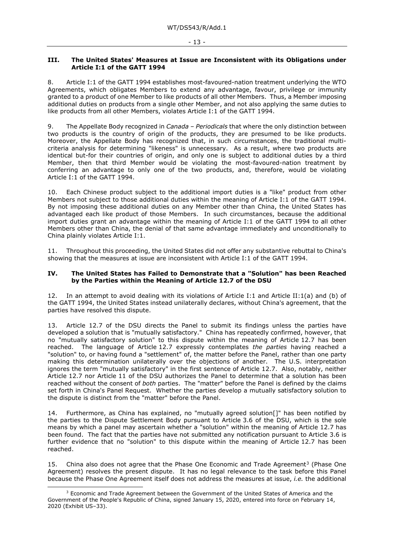#### **III. The United States' Measures at Issue are Inconsistent with its Obligations under Article I:1 of the GATT 1994**

8. Article I:1 of the GATT 1994 establishes most-favoured-nation treatment underlying the WTO Agreements, which obligates Members to extend any advantage, favour, privilege or immunity granted to a product of one Member to like products of all other Members. Thus, a Member imposing additional duties on products from a single other Member, and not also applying the same duties to like products from all other Members, violates Article I:1 of the GATT 1994.

9. The Appellate Body recognized in *Canada – Periodicals* that where the only distinction between two products is the country of origin of the products, they are presumed to be like products. Moreover, the Appellate Body has recognized that, in such circumstances, the traditional multicriteria analysis for determining "likeness" is unnecessary. As a result, where two products are identical but-for their countries of origin, and only one is subject to additional duties by a third Member, then that third Member would be violating the most-favoured-nation treatment by conferring an advantage to only one of the two products, and, therefore, would be violating Article I:1 of the GATT 1994.

10. Each Chinese product subject to the additional import duties is a "like" product from other Members not subject to those additional duties within the meaning of Article I:1 of the GATT 1994. By not imposing these additional duties on any Member other than China, the United States has advantaged each like product of those Members. In such circumstances, because the additional import duties grant an advantage within the meaning of Article I:1 of the GATT 1994 to all other Members other than China, the denial of that same advantage immediately and unconditionally to China plainly violates Article I:1.

11. Throughout this proceeding, the United States did not offer any substantive rebuttal to China's showing that the measures at issue are inconsistent with Article I:1 of the GATT 1994.

#### **IV. The United States has Failed to Demonstrate that a "Solution" has been Reached by the Parties within the Meaning of Article 12.7 of the DSU**

12. In an attempt to avoid dealing with its violations of Article I:1 and Article II:1(a) and (b) of the GATT 1994, the United States instead unilaterally declares, without China's agreement, that the parties have resolved this dispute.

13. Article 12.7 of the DSU directs the Panel to submit its findings unless the parties have developed a solution that is "mutually satisfactory." China has repeatedly confirmed, however, that no "mutually satisfactory solution" to this dispute within the meaning of Article 12.7 has been reached. The language of Article 12.7 expressly contemplates *the parties* having reached a "solution" to, or having found a "settlement" of, the matter before the Panel, rather than one party making this determination unilaterally over the objections of another. The U.S. interpretation ignores the term "mutually satisfactory" in the first sentence of Article 12.7. Also, notably, neither Article 12.7 nor Article 11 of the DSU authorizes the Panel to determine that a solution has been reached without the consent of *both* parties. The "matter" before the Panel is defined by the claims set forth in China's Panel Request. Whether the parties develop a mutually satisfactory solution to the dispute is distinct from the "matter" before the Panel.

14. Furthermore, as China has explained, no "mutually agreed solution[]" has been notified by the parties to the Dispute Settlement Body pursuant to Article 3.6 of the DSU, which is the sole means by which a panel may ascertain whether a "solution" within the meaning of Article 12.7 has been found. The fact that the parties have not submitted any notification pursuant to Article 3.6 is further evidence that no "solution" to this dispute within the meaning of Article 12.7 has been reached.

15. China also does not agree that the Phase One Economic and Trade Agreement<sup>[3](#page-12-0)</sup> (Phase One Agreement) resolves the present dispute. It has no legal relevance to the task before this Panel because the Phase One Agreement itself does not address the measures at issue, *i.e.* the additional

<span id="page-12-0"></span> $3$  Economic and Trade Agreement between the Government of the United States of America and the Government of the People's Republic of China, signed January 15, 2020, entered into force on February 14, 2020 (Exhibit US–33).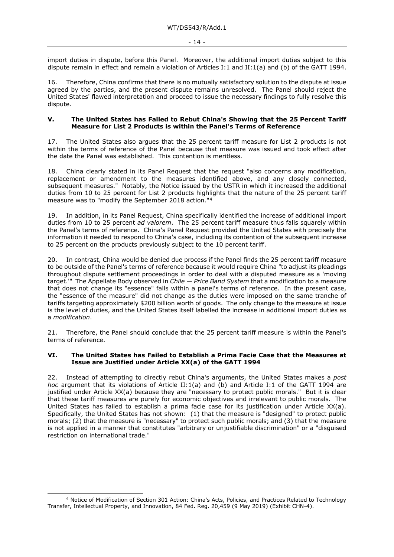import duties in dispute, before this Panel. Moreover, the additional import duties subject to this dispute remain in effect and remain a violation of Articles I:1 and II:1(a) and (b) of the GATT 1994.

16. Therefore, China confirms that there is no mutually satisfactory solution to the dispute at issue agreed by the parties, and the present dispute remains unresolved. The Panel should reject the United States' flawed interpretation and proceed to issue the necessary findings to fully resolve this dispute.

#### **V. The United States has Failed to Rebut China's Showing that the 25 Percent Tariff Measure for List 2 Products is within the Panel's Terms of Reference**

17. The United States also argues that the 25 percent tariff measure for List 2 products is not within the terms of reference of the Panel because that measure was issued and took effect after the date the Panel was established. This contention is meritless.

18. China clearly stated in its Panel Request that the request "also concerns any modification, replacement or amendment to the measures identified above, and any closely connected, subsequent measures." Notably, the Notice issued by the USTR in which it increased the additional duties from 10 to 25 percent for List 2 products highlights that the nature of the 25 percent tariff measure was to "modify the September 2018 action."[4](#page-13-0)

19. In addition, in its Panel Request, China specifically identified the increase of additional import duties from 10 to 25 percent *ad valorem*. The 25 percent tariff measure thus falls squarely within the Panel's terms of reference. China's Panel Request provided the United States with precisely the information it needed to respond to China's case, including its contention of the subsequent increase to 25 percent on the products previously subject to the 10 percent tariff.

20. In contrast, China would be denied due process if the Panel finds the 25 percent tariff measure to be outside of the Panel's terms of reference because it would require China "to adjust its pleadings throughout dispute settlement proceedings in order to deal with a disputed measure as a 'moving target.'" The Appellate Body observed in *Chile — Price Band System* that a modification to a measure that does not change its "essence" falls within a panel's terms of reference. In the present case, the "essence of the measure" did not change as the duties were imposed on the same tranche of tariffs targeting approximately \$200 billion worth of goods. The only change to the measure at issue is the level of duties, and the United States itself labelled the increase in additional import duties as a *modification*.

21. Therefore, the Panel should conclude that the 25 percent tariff measure is within the Panel's terms of reference.

#### **VI. The United States has Failed to Establish a Prima Facie Case that the Measures at Issue are Justified under Article XX(a) of the GATT 1994**

22. Instead of attempting to directly rebut China's arguments, the United States makes a *post hoc* argument that its violations of Article II:1(a) and (b) and Article I:1 of the GATT 1994 are justified under Article XX(a) because they are "necessary to protect public morals." But it is clear that these tariff measures are purely for economic objectives and irrelevant to public morals. The United States has failed to establish a prima facie case for its justification under Article XX(a). Specifically, the United States has not shown: (1) that the measure is "designed" to protect public morals; (2) that the measure is "necessary" to protect such public morals; and (3) that the measure is not applied in a manner that constitutes "arbitrary or unjustifiable discrimination" or a "disguised restriction on international trade."

<span id="page-13-0"></span><sup>4</sup> Notice of Modification of Section 301 Action: China's Acts, Policies, and Practices Related to Technology Transfer, Intellectual Property, and Innovation, 84 Fed. Reg. 20,459 (9 May 2019) (Exhibit CHN-4).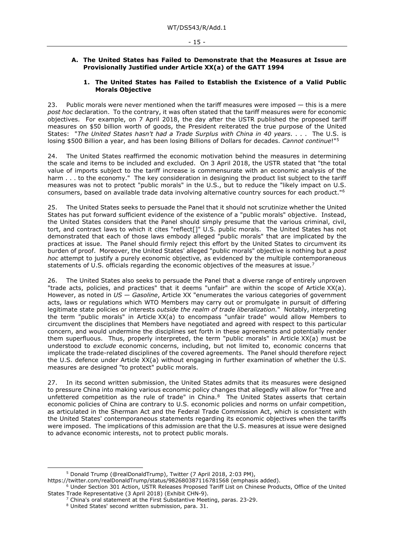#### **A. The United States has Failed to Demonstrate that the Measures at Issue are Provisionally Justified under Article XX(a) of the GATT 1994**

#### **1. The United States has Failed to Establish the Existence of a Valid Public Morals Objective**

23. Public morals were never mentioned when the tariff measures were imposed - this is a mere *post hoc* declaration. To the contrary, it was often stated that the tariff measures were for economic objectives. For example, on 7 April 2018, the day after the USTR published the proposed tariff measures on \$50 billion worth of goods, the President reiterated the true purpose of the United States: "*The United States hasn't had a Trade Surplus with China in 40 years*. . . . The U.S. is losing \$500 Billion a year, and has been losing Billions of Dollars for decades. *Cannot continue*!"[5](#page-14-0)

24. The United States reaffirmed the economic motivation behind the measures in determining the scale and items to be included and excluded. On 3 April 2018, the USTR stated that "the total value of imports subject to the tariff increase is commensurate with an economic analysis of the harm . . . to the economy." The key consideration in designing the product list subject to the tariff measures was not to protect "public morals" in the U.S., but to reduce the "likely impact on U.S. consumers, based on available trade data involving alternative country sources for each product."[6](#page-14-1)

25. The United States seeks to persuade the Panel that it should not scrutinize whether the United States has put forward sufficient evidence of the existence of a "public morals" objective. Instead, the United States considers that the Panel should simply presume that the various criminal, civil, tort, and contract laws to which it cites "reflect<sup>[]"</sup> U.S. public morals. The United States has not demonstrated that each of those laws embody alleged "public morals" that are implicated by the practices at issue. The Panel should firmly reject this effort by the United States to circumvent its burden of proof. Moreover, the United States' alleged "public morals" objective is nothing but a *post hoc* attempt to justify a purely economic objective, as evidenced by the multiple contemporaneous statements of U.S. officials regarding the economic objectives of the measures at issue.<sup>7</sup>

26. The United States also seeks to persuade the Panel that a diverse range of entirely unproven "trade acts, policies, and practices" that it deems "unfair" are within the scope of Article XX(a). However, as noted in *US — Gasoline*, Article XX "enumerates the various categories of government acts, laws or regulations which WTO Members may carry out or promulgate in pursuit of differing legitimate state policies or interests *outside the realm of trade liberalization.*" Notably, interpreting the term "public morals" in Article XX(a) to encompass "unfair trade" would allow Members to circumvent the disciplines that Members have negotiated and agreed with respect to this particular concern, and would undermine the disciplines set forth in these agreements and potentially render them superfluous. Thus, properly interpreted, the term "public morals" in Article XX(a) must be understood to *exclude* economic concerns, including, but not limited to, economic concerns that implicate the trade-related disciplines of the covered agreements. The Panel should therefore reject the U.S. defence under Article XX(a) without engaging in further examination of whether the U.S. measures are designed "to protect" public morals.

27. In its second written submission, the United States admits that its measures were designed to pressure China into making various economic policy changes that allegedly will allow for "free and unfettered competition as the rule of trade" in China[.8](#page-14-3) The United States asserts that certain economic policies of China are contrary to U.S. economic policies and norms on unfair competition, as articulated in the Sherman Act and the Federal Trade Commission Act, which is consistent with the United States' contemporaneous statements regarding its economic objectives when the tariffs were imposed. The implications of this admission are that the U.S. measures at issue were designed to advance economic interests, not to protect public morals.

<sup>5</sup> Donald Trump (@realDonaldTrump), Twitter (7 April 2018, 2:03 PM),

<span id="page-14-0"></span>https://twitter.com/realDonaldTrump/status/982680387116781568 (emphasis added).

<span id="page-14-3"></span><span id="page-14-2"></span><span id="page-14-1"></span><sup>6</sup> Under Section 301 Action, USTR Releases Proposed Tariff List on Chinese Products, Office of the United States Trade Representative (3 April 2018) (Exhibit CHN-9).

<sup>7</sup> China's oral statement at the First Substantive Meeting, paras. 23-29.

<sup>8</sup> United States' second written submission, para. 31.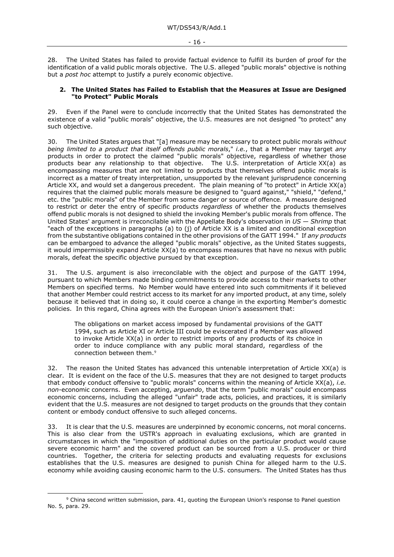28. The United States has failed to provide factual evidence to fulfill its burden of proof for the identification of a valid public morals objective. The U.S. alleged "public morals" objective is nothing but a *post hoc* attempt to justify a purely economic objective.

#### **2. The United States has Failed to Establish that the Measures at Issue are Designed "to Protect" Public Morals**

29. Even if the Panel were to conclude incorrectly that the United States has demonstrated the existence of a valid "public morals" objective, the U.S. measures are not designed "to protect" any such objective.

30. The United States argues that "[a] measure may be necessary to protect public morals *without being limited to a product that itself offends public morals*," *i.e.*, that a Member may target *any*  products in order to protect the claimed "public morals" objective, regardless of whether those products bear any relationship to that objective. The U.S. interpretation of Article XX(a) as encompassing measures that are not limited to products that themselves offend public morals is incorrect as a matter of treaty interpretation, unsupported by the relevant jurisprudence concerning Article XX, and would set a dangerous precedent. The plain meaning of "to protect" in Article XX(a) requires that the claimed public morals measure be designed to "guard against," "shield," "defend, etc. the "public morals" of the Member from some danger or source of offence. A measure designed to restrict or deter the entry of specific products *regardless* of whether the products themselves offend public morals is not designed to shield the invoking Member's public morals from offence. The United States' argument is irreconcilable with the Appellate Body's observation in *US — Shrimp* that "each of the exceptions in paragraphs (a) to (j) of Article XX is a limited and conditional exception from the substantive obligations contained in the other provisions of the GATT 1994." If *any products* can be embargoed to advance the alleged "public morals" objective, as the United States suggests, it would impermissibly expand Article XX(a) to encompass measures that have no nexus with public morals, defeat the specific objective pursued by that exception.

31. The U.S. argument is also irreconcilable with the object and purpose of the GATT 1994, pursuant to which Members made binding commitments to provide access to their markets to other Members on specified terms. No Member would have entered into such commitments if it believed that another Member could restrict access to its market for any imported product, at any time, solely because it believed that in doing so, it could coerce a change in the exporting Member's domestic policies. In this regard, China agrees with the European Union's assessment that:

The obligations on market access imposed by fundamental provisions of the GATT 1994, such as Article XI or Article III could be eviscerated if a Member was allowed to invoke Article XX(a) in order to restrict imports of any products of its choice in order to induce compliance with any public moral standard, regardless of the connection between them.[9](#page-15-0)

32. The reason the United States has advanced this untenable interpretation of Article XX(a) is clear. It is evident on the face of the U.S. measures that they are not designed to target products that embody conduct offensive to "public morals" concerns within the meaning of Article XX(a), *i.e. non*-economic concerns. Even accepting, *arguendo*, that the term "public morals" could encompass economic concerns, including the alleged "unfair" trade acts, policies, and practices, it is similarly evident that the U.S. measures are not designed to target products on the grounds that they contain content or embody conduct offensive to such alleged concerns.

33. It is clear that the U.S. measures are underpinned by economic concerns, not moral concerns. This is also clear from the USTR's approach in evaluating exclusions, which are granted in circumstances in which the "imposition of additional duties on the particular product would cause severe economic harm" and the covered product can be sourced from a U.S. producer or third countries. Together, the criteria for selecting products and evaluating requests for exclusions establishes that the U.S. measures are designed to punish China for alleged harm to the U.S. economy while avoiding causing economic harm to the U.S. consumers. The United States has thus

<span id="page-15-0"></span><sup>9</sup> China second written submission, para. 41, quoting the European Union's response to Panel question No. 5, para. 29.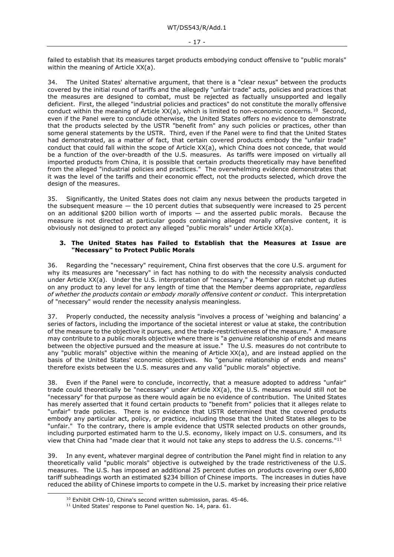failed to establish that its measures target products embodying conduct offensive to "public morals" within the meaning of Article XX(a).

34. The United States' alternative argument, that there is a "clear nexus" between the products covered by the initial round of tariffs and the allegedly "unfair trade" acts, policies and practices that the measures are designed to combat, must be rejected as factually unsupported and legally deficient. First, the alleged "industrial policies and practices" do not constitute the morally offensive conduct within the meaning of Article XX(a), which is limited to non-economic concerns.<sup>10</sup> Second, even if the Panel were to conclude otherwise, the United States offers no evidence to demonstrate that the products selected by the USTR "benefit from" any such policies or practices, other than some general statements by the USTR. Third, even if the Panel were to find that the United States had demonstrated, as a matter of fact, that certain covered products embody the "unfair trade" conduct that could fall within the scope of Article XX(a), which China does not concede, that would be a function of the over-breadth of the U.S. measures. As tariffs were imposed on virtually all imported products from China, it is possible that certain products theoretically may have benefited from the alleged "industrial policies and practices." The overwhelming evidence demonstrates that it was the level of the tariffs and their economic effect, not the products selected, which drove the design of the measures.

35. Significantly, the United States does not claim any nexus between the products targeted in the subsequent measure *—* the 10 percent duties that subsequently were increased to 25 percent on an additional \$200 billion worth of imports *—* and the asserted public morals. Because the measure is not directed at particular goods containing alleged morally offensive content, it is obviously not designed to protect any alleged "public morals" under Article XX(a).

#### **3. The United States has Failed to Establish that the Measures at Issue are "Necessary" to Protect Public Morals**

36. Regarding the "necessary" requirement, China first observes that the core U.S. argument for why its measures are "necessary" in fact has nothing to do with the necessity analysis conducted under Article XX(a). Under the U.S. interpretation of "necessary," a Member can ratchet up duties on any product to any level for any length of time that the Member deems appropriate, *regardless of whether the products contain or embody morally offensive content or conduct*. This interpretation of "necessary" would render the necessity analysis meaningless.

37. Properly conducted, the necessity analysis "involves a process of 'weighing and balancing' a series of factors, including the importance of the societal interest or value at stake, the contribution of the measure to the objective it pursues, and the trade-restrictiveness of the measure." A measure may contribute to a public morals objective where there is "a *genuine* relationship of ends and means between the objective pursued and the measure at issue." The U.S. measures do not contribute to any "public morals" objective within the meaning of Article XX(a), and are instead applied on the basis of the United States' economic objectives. No "genuine relationship of ends and means" therefore exists between the U.S. measures and any valid "public morals" objective.

38. Even if the Panel were to conclude, incorrectly, that a measure adopted to address "unfair" trade could theoretically be "necessary" under Article XX(a), the U.S. measures would still not be "necessary" for that purpose as there would again be no evidence of contribution. The United States has merely asserted that it found certain products to "benefit from" policies that it alleges relate to "unfair" trade policies. There is no evidence that USTR determined that the covered products embody any particular act, policy, or practice, including those that the United States alleges to be "unfair." To the contrary, there is ample evidence that USTR selected products on other grounds, including purported estimated harm to the U.S. economy, likely impact on U.S. consumers, and its view that China had "made clear that it would not take any steps to address the U.S. concerns."[11](#page-16-1) 

<span id="page-16-0"></span>39. In any event, whatever marginal degree of contribution the Panel might find in relation to any theoretically valid "public morals" objective is outweighed by the trade restrictiveness of the U.S. measures. The U.S. has imposed an additional 25 percent duties on products covering over 6,800 tariff subheadings worth an estimated \$234 billion of Chinese imports. The increases in duties have reduced the ability of Chinese imports to compete in the U.S. market by increasing their price relative

<sup>10</sup> Exhibit CHN-10, China's second written submission, paras. 45-46.

<span id="page-16-1"></span><sup>&</sup>lt;sup>11</sup> United States' response to Panel question No. 14, para. 61.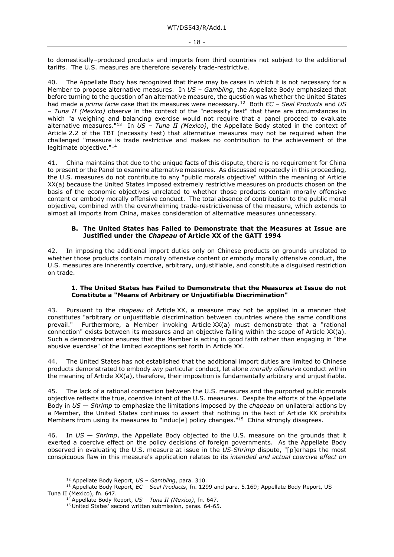to domestically–produced products and imports from third countries not subject to the additional tariffs. The U.S. measures are therefore severely trade-restrictive.

40. The Appellate Body has recognized that there may be cases in which it is not necessary for a Member to propose alternative measures. In *US – Gambling*, the Appellate Body emphasized that before turning to the question of an alternative measure, the question was whether the United States had made a *prima facie* case that its measures were necessary.[12](#page-17-0) Both *EC – Seal Products* and *US – Tuna II (Mexico)* observe in the context of the "necessity test" that there are circumstances in which "a weighing and balancing exercise would not require that a panel proceed to evaluate alternative measures."[13](#page-17-1) In *US – Tuna II (Mexico)*, the Appellate Body stated in the context of Article 2.2 of the TBT (necessity test) that alternative measures may not be required when the challenged "measure is trade restrictive and makes no contribution to the achievement of the legitimate objective."[14](#page-17-2)

41. China maintains that due to the unique facts of this dispute, there is no requirement for China to present or the Panel to examine alternative measures. As discussed repeatedly in this proceeding, the U.S. measures do not contribute to any "public morals objective" within the meaning of Article XX(a) because the United States imposed extremely restrictive measures on products chosen on the basis of the economic objectives unrelated to whether those products contain morally offensive content or embody morally offensive conduct. The total absence of contribution to the public moral objective, combined with the overwhelming trade-restrictiveness of the measure, which extends to almost all imports from China, makes consideration of alternative measures unnecessary.

#### **B. The United States has Failed to Demonstrate that the Measures at Issue are Justified under the** *Chapeau* **of Article XX of the GATT 1994**

42. In imposing the additional import duties only on Chinese products on grounds unrelated to whether those products contain morally offensive content or embody morally offensive conduct, the U.S. measures are inherently coercive, arbitrary, unjustifiable, and constitute a disguised restriction on trade.

#### **1. The United States has Failed to Demonstrate that the Measures at Issue do not Constitute a "Means of Arbitrary or Unjustifiable Discrimination"**

43. Pursuant to the *chapeau* of Article XX, a measure may not be applied in a manner that constitutes "arbitrary or unjustifiable discrimination between countries where the same conditions prevail." Furthermore, a Member invoking Article XX(a) must demonstrate that a "rational connection" exists between its measures and an objective falling within the scope of Article XX(a). Such a demonstration ensures that the Member is acting in good faith rather than engaging in "the abusive exercise" of the limited exceptions set forth in Article XX.

44. The United States has not established that the additional import duties are limited to Chinese products demonstrated to embody *any* particular conduct, let alone *morally offensive* conduct within the meaning of Article XX(a), therefore, their imposition is fundamentally arbitrary and unjustifiable.

45. The lack of a rational connection between the U.S. measures and the purported public morals objective reflects the true, coercive intent of the U.S. measures. Despite the efforts of the Appellate Body in *US — Shrimp* to emphasize the limitations imposed by the *chapeau* on unilateral actions by a Member, the United States continues to assert that nothing in the text of Article XX prohibits Members from using its measures to "induc[e] policy changes."<sup>[15](#page-17-3)</sup> China strongly disagrees.

46. In *US — Shrimp*, the Appellate Body objected to the U.S. measure on the grounds that it exerted a coercive effect on the policy decisions of foreign governments. As the Appellate Body observed in evaluating the U.S. measure at issue in the *US-Shrimp* dispute, "[p]erhaps the most conspicuous flaw in this measure's application relates to its *intended and actual coercive effect on* 

<sup>12</sup> Appellate Body Report, *US – Gambling*, para. 310.

<span id="page-17-3"></span><span id="page-17-2"></span><span id="page-17-1"></span><span id="page-17-0"></span><sup>13</sup> Appellate Body Report, *EC – Seal Products*, fn. 1299 and para. 5.169; Appellate Body Report, US – Tuna II (Mexico), fn. 647. 14 Appellate Body Report, *US – Tuna II (Mexico)*, fn. 647. 15 United States' second written submission, paras. 64-65.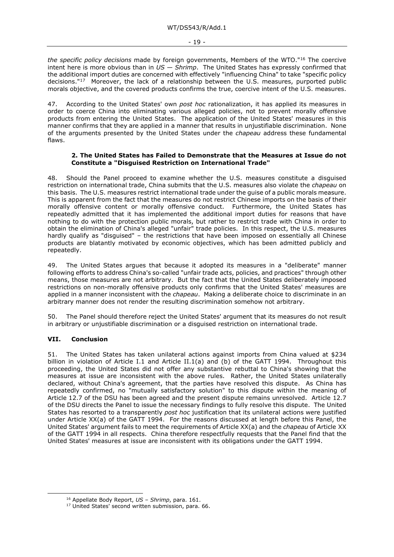*the specific policy decisions* made by foreign governments, Members of the WTO."[16](#page-18-0) The coercive intent here is more obvious than in *US — Shrimp*. The United States has expressly confirmed that the additional import duties are concerned with effectively "influencing China" to take "specific policy decisions."[17](#page-18-1) Moreover, the lack of a relationship between the U.S. measures, purported public morals objective, and the covered products confirms the true, coercive intent of the U.S. measures.

47. According to the United States' own *post hoc* rationalization, it has applied its measures in order to coerce China into eliminating various alleged policies, not to prevent morally offensive products from entering the United States. The application of the United States' measures in this manner confirms that they are applied in a manner that results in unjustifiable discrimination. None of the arguments presented by the United States under the *chapeau* address these fundamental flaws.

#### **2. The United States has Failed to Demonstrate that the Measures at Issue do not Constitute a "Disguised Restriction on International Trade"**

48. Should the Panel proceed to examine whether the U.S. measures constitute a disguised restriction on international trade, China submits that the U.S. measures also violate the *chapeau* on this basis. The U.S. measures restrict international trade under the guise of a public morals measure. This is apparent from the fact that the measures do not restrict Chinese imports on the basis of their morally offensive content or morally offensive conduct. Furthermore, the United States has repeatedly admitted that it has implemented the additional import duties for reasons that have nothing to do with the protection public morals, but rather to restrict trade with China in order to obtain the elimination of China's alleged "unfair" trade policies. In this respect, the U.S. measures hardly qualify as "disquised" – the restrictions that have been imposed on essentially all Chinese products are blatantly motivated by economic objectives, which has been admitted publicly and repeatedly.

49. The United States argues that because it adopted its measures in a "deliberate" manner following efforts to address China's so-called "unfair trade acts, policies, and practices" through other means, those measures are not arbitrary. But the fact that the United States deliberately imposed restrictions on non-morally offensive products only confirms that the United States' measures are applied in a manner inconsistent with the *chapeau*. Making a deliberate choice to discriminate in an arbitrary manner does not render the resulting discrimination somehow not arbitrary.

50. The Panel should therefore reject the United States' argument that its measures do not result in arbitrary or unjustifiable discrimination or a disguised restriction on international trade.

# **VII. Conclusion**

51. The United States has taken unilateral actions against imports from China valued at \$234 billion in violation of Article I.1 and Article II.1(a) and (b) of the GATT 1994. Throughout this proceeding, the United States did not offer any substantive rebuttal to China's showing that the measures at issue are inconsistent with the above rules. Rather, the United States unilaterally declared, without China's agreement, that the parties have resolved this dispute. As China has repeatedly confirmed, no "mutually satisfactory solution" to this dispute within the meaning of Article 12.7 of the DSU has been agreed and the present dispute remains unresolved. Article 12.7 of the DSU directs the Panel to issue the necessary findings to fully resolve this dispute. The United States has resorted to a transparently *post hoc* justification that its unilateral actions were justified under Article XX(a) of the GATT 1994. For the reasons discussed at length before this Panel, the United States' argument fails to meet the requirements of Article XX(a) and the *chapeau* of Article XX of the GATT 1994 in all respects. China therefore respectfully requests that the Panel find that the United States' measures at issue are inconsistent with its obligations under the GATT 1994.

<span id="page-18-1"></span><span id="page-18-0"></span><sup>16</sup> Appellate Body Report, *US – Shrimp*, para. 161.

<sup>&</sup>lt;sup>17</sup> United States' second written submission, para. 66.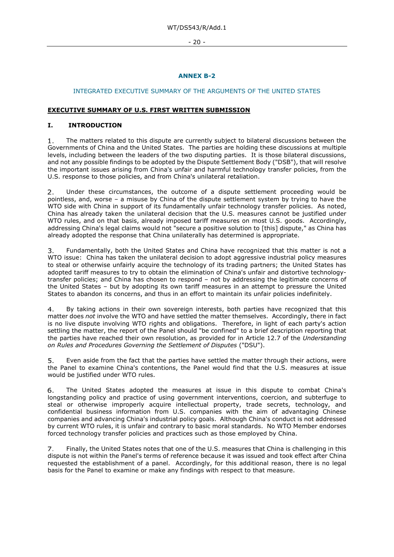- 20 -

# **ANNEX B-2**

# INTEGRATED EXECUTIVE SUMMARY OF THE ARGUMENTS OF THE UNITED STATES

# **EXECUTIVE SUMMARY OF U.S. FIRST WRITTEN SUBMISSION**

# **I. INTRODUCTION**

The matters related to this dispute are currently subject to bilateral discussions between the  $1.$ Governments of China and the United States. The parties are holding these discussions at multiple levels, including between the leaders of the two disputing parties. It is those bilateral discussions, and not any possible findings to be adopted by the Dispute Settlement Body ("DSB"), that will resolve the important issues arising from China's unfair and harmful technology transfer policies, from the U.S. response to those policies, and from China's unilateral retaliation.

Under these circumstances, the outcome of a dispute settlement proceeding would be  $2.$ pointless, and, worse – a misuse by China of the dispute settlement system by trying to have the WTO side with China in support of its fundamentally unfair technology transfer policies. As noted, China has already taken the unilateral decision that the U.S. measures cannot be justified under WTO rules, and on that basis, already imposed tariff measures on most U.S. goods. Accordingly, addressing China's legal claims would not "secure a positive solution to [this] dispute," as China has already adopted the response that China unilaterally has determined is appropriate.

Fundamentally, both the United States and China have recognized that this matter is not a  $\overline{3}$ . WTO issue: China has taken the unilateral decision to adopt aggressive industrial policy measures to steal or otherwise unfairly acquire the technology of its trading partners; the United States has adopted tariff measures to try to obtain the elimination of China's unfair and distortive technologytransfer policies; and China has chosen to respond – not by addressing the legitimate concerns of the United States – but by adopting its own tariff measures in an attempt to pressure the United States to abandon its concerns, and thus in an effort to maintain its unfair policies indefinitely.

 $4.$ By taking actions in their own sovereign interests, both parties have recognized that this matter does *not* involve the WTO and have settled the matter themselves. Accordingly, there in fact is no live dispute involving WTO rights and obligations. Therefore, in light of each party's action settling the matter, the report of the Panel should "be confined" to a brief description reporting that the parties have reached their own resolution, as provided for in Article 12.7 of the *Understanding on Rules and Procedures Governing the Settlement of Disputes* ("DSU").

Even aside from the fact that the parties have settled the matter through their actions, were  $5<sub>1</sub>$ the Panel to examine China's contentions, the Panel would find that the U.S. measures at issue would be justified under WTO rules.

The United States adopted the measures at issue in this dispute to combat China's 6. longstanding policy and practice of using government interventions, coercion, and subterfuge to steal or otherwise improperly acquire intellectual property, trade secrets, technology, and confidential business information from U.S. companies with the aim of advantaging Chinese companies and advancing China's industrial policy goals. Although China's conduct is not addressed by current WTO rules, it is unfair and contrary to basic moral standards. No WTO Member endorses forced technology transfer policies and practices such as those employed by China.

Finally, the United States notes that one of the U.S. measures that China is challenging in this 7. dispute is not within the Panel's terms of reference because it was issued and took effect after China requested the establishment of a panel. Accordingly, for this additional reason, there is no legal basis for the Panel to examine or make any findings with respect to that measure.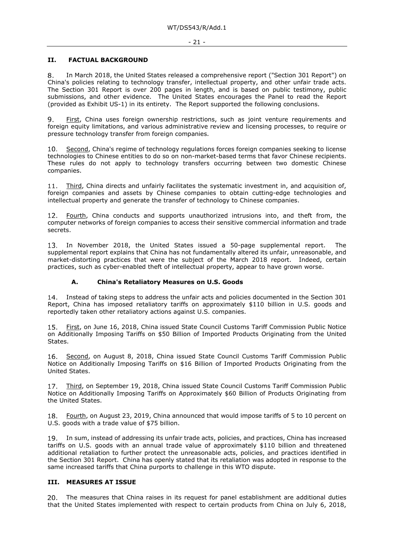#### **II. FACTUAL BACKGROUND**

In March 2018, the United States released a comprehensive report ("Section 301 Report") on 8. China's policies relating to technology transfer, intellectual property, and other unfair trade acts. The Section 301 Report is over 200 pages in length, and is based on public testimony, public submissions, and other evidence. The United States encourages the Panel to read the Report (provided as Exhibit US-1) in its entirety. The Report supported the following conclusions.

 $Q_{\perp}$ First, China uses foreign ownership restrictions, such as joint venture requirements and foreign equity limitations, and various administrative review and licensing processes, to require or pressure technology transfer from foreign companies.

 $10.$ Second, China's regime of technology regulations forces foreign companies seeking to license technologies to Chinese entities to do so on non-market-based terms that favor Chinese recipients. These rules do not apply to technology transfers occurring between two domestic Chinese companies.

Third, China directs and unfairly facilitates the systematic investment in, and acquisition of,  $11.$ foreign companies and assets by Chinese companies to obtain cutting-edge technologies and intellectual property and generate the transfer of technology to Chinese companies.

Fourth, China conducts and supports unauthorized intrusions into, and theft from, the  $12.$ computer networks of foreign companies to access their sensitive commercial information and trade secrets.

13. In November 2018, the United States issued a 50-page supplemental report. The supplemental report explains that China has not fundamentally altered its unfair, unreasonable, and market-distorting practices that were the subject of the March 2018 report. Indeed, certain practices, such as cyber-enabled theft of intellectual property, appear to have grown worse.

# **A. China's Retaliatory Measures on U.S. Goods**

14. Instead of taking steps to address the unfair acts and policies documented in the Section 301 Report, China has imposed retaliatory tariffs on approximately \$110 billion in U.S. goods and reportedly taken other retaliatory actions against U.S. companies.

First, on June 16, 2018, China issued State Council Customs Tariff Commission Public Notice  $15.$ on Additionally Imposing Tariffs on \$50 Billion of Imported Products Originating from the United States.

Second, on August 8, 2018, China issued State Council Customs Tariff Commission Public 16. Notice on Additionally Imposing Tariffs on \$16 Billion of Imported Products Originating from the United States.

Third, on September 19, 2018, China issued State Council Customs Tariff Commission Public Notice on Additionally Imposing Tariffs on Approximately \$60 Billion of Products Originating from the United States.

Fourth, on August 23, 2019, China announced that would impose tariffs of 5 to 10 percent on U.S. goods with a trade value of \$75 billion.

In sum, instead of addressing its unfair trade acts, policies, and practices, China has increased tariffs on U.S. goods with an annual trade value of approximately \$110 billion and threatened additional retaliation to further protect the unreasonable acts, policies, and practices identified in the Section 301 Report. China has openly stated that its retaliation was adopted in response to the same increased tariffs that China purports to challenge in this WTO dispute.

#### **III. MEASURES AT ISSUE**

The measures that China raises in its request for panel establishment are additional duties that the United States implemented with respect to certain products from China on July 6, 2018,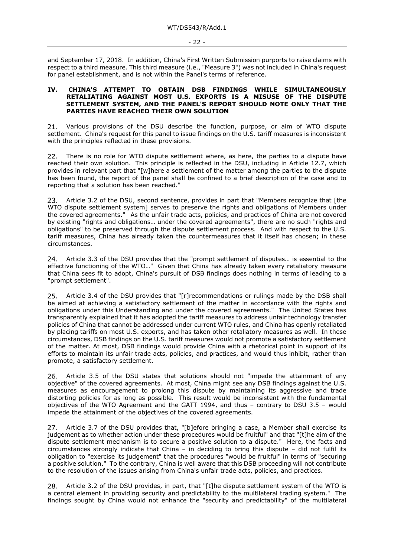and September 17, 2018. In addition, China's First Written Submission purports to raise claims with respect to a third measure. This third measure (i.e., "Measure 3") was not included in China's request for panel establishment, and is not within the Panel's terms of reference.

#### **IV. CHINA'S ATTEMPT TO OBTAIN DSB FINDINGS WHILE SIMULTANEOUSLY RETALIATING AGAINST MOST U.S. EXPORTS IS A MISUSE OF THE DISPUTE SETTLEMENT SYSTEM, AND THE PANEL'S REPORT SHOULD NOTE ONLY THAT THE PARTIES HAVE REACHED THEIR OWN SOLUTION**

Various provisions of the DSU describe the function, purpose, or aim of WTO dispute  $21.$ settlement. China's request for this panel to issue findings on the U.S. tariff measures is inconsistent with the principles reflected in these provisions.

There is no role for WTO dispute settlement where, as here, the parties to a dispute have  $22.$ reached their own solution. This principle is reflected in the DSU, including in Article 12.7, which provides in relevant part that "[w]here a settlement of the matter among the parties to the dispute has been found, the report of the panel shall be confined to a brief description of the case and to reporting that a solution has been reached."

Article 3.2 of the DSU, second sentence, provides in part that "Members recognize that [the 23. WTO dispute settlement system] serves to preserve the rights and obligations of Members under the covered agreements." As the unfair trade acts, policies, and practices of China are not covered by existing "rights and obligations… under the covered agreements", there are no such "rights and obligations" to be preserved through the dispute settlement process. And with respect to the U.S. tariff measures, China has already taken the countermeasures that it itself has chosen; in these circumstances.

Article 3.3 of the DSU provides that the "prompt settlement of disputes… is essential to the  $24.$ effective functioning of the WTO…" Given that China has already taken every retaliatory measure that China sees fit to adopt, China's pursuit of DSB findings does nothing in terms of leading to a "prompt settlement".

Article 3.4 of the DSU provides that "[r]recommendations or rulings made by the DSB shall  $25.$ be aimed at achieving a satisfactory settlement of the matter in accordance with the rights and obligations under this Understanding and under the covered agreements." The United States has transparently explained that it has adopted the tariff measures to address unfair technology transfer policies of China that cannot be addressed under current WTO rules, and China has openly retaliated by placing tariffs on most U.S. exports, and has taken other retaliatory measures as well. In these circumstances, DSB findings on the U.S. tariff measures would not promote a satisfactory settlement of the matter. At most, DSB findings would provide China with a rhetorical point in support of its efforts to maintain its unfair trade acts, policies, and practices, and would thus inhibit, rather than promote, a satisfactory settlement.

Article 3.5 of the DSU states that solutions should not "impede the attainment of any 26. objective" of the covered agreements. At most, China might see any DSB findings against the U.S. measures as encouragement to prolong this dispute by maintaining its aggressive and trade distorting policies for as long as possible. This result would be inconsistent with the fundamental objectives of the WTO Agreement and the GATT 1994, and thus – contrary to DSU 3.5 – would impede the attainment of the objectives of the covered agreements.

Article 3.7 of the DSU provides that, "[b]efore bringing a case, a Member shall exercise its 27. judgement as to whether action under these procedures would be fruitful" and that "[t]he aim of the dispute settlement mechanism is to secure a positive solution to a dispute." Here, the facts and circumstances strongly indicate that China – in deciding to bring this dispute – did not fulfil its obligation to "exercise its judgement" that the procedures "would be fruitful" in terms of "securing a positive solution." To the contrary, China is well aware that this DSB proceeding will not contribute to the resolution of the issues arising from China's unfair trade acts, policies, and practices.

28. Article 3.2 of the DSU provides, in part, that "[t]he dispute settlement system of the WTO is a central element in providing security and predictability to the multilateral trading system." The findings sought by China would not enhance the "security and predictability" of the multilateral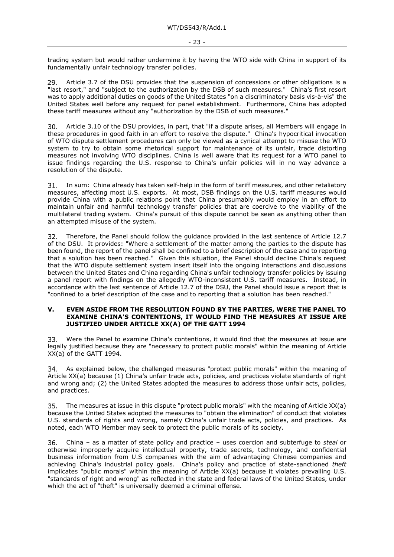trading system but would rather undermine it by having the WTO side with China in support of its fundamentally unfair technology transfer policies.

29. Article 3.7 of the DSU provides that the suspension of concessions or other obligations is a "last resort," and "subject to the authorization by the DSB of such measures." China's first resort was to apply additional duties on goods of the United States "on a discriminatory basis vis-à-vis" the United States well before any request for panel establishment. Furthermore, China has adopted these tariff measures without any "authorization by the DSB of such measures."

Article 3.10 of the DSU provides, in part, that "if a dispute arises, all Members will engage in 30. these procedures in good faith in an effort to resolve the dispute." China's hypocritical invocation of WTO dispute settlement procedures can only be viewed as a cynical attempt to misuse the WTO system to try to obtain some rhetorical support for maintenance of its unfair, trade distorting measures not involving WTO disciplines. China is well aware that its request for a WTO panel to issue findings regarding the U.S. response to China's unfair policies will in no way advance a resolution of the dispute.

31. In sum: China already has taken self-help in the form of tariff measures, and other retaliatory measures, affecting most U.S. exports. At most, DSB findings on the U.S. tariff measures would provide China with a public relations point that China presumably would employ in an effort to maintain unfair and harmful technology transfer policies that are coercive to the viability of the multilateral trading system. China's pursuit of this dispute cannot be seen as anything other than an attempted misuse of the system.

Therefore, the Panel should follow the guidance provided in the last sentence of Article 12.7  $32.$ of the DSU. It provides: "Where a settlement of the matter among the parties to the dispute has been found, the report of the panel shall be confined to a brief description of the case and to reporting that a solution has been reached." Given this situation, the Panel should decline China's request that the WTO dispute settlement system insert itself into the ongoing interactions and discussions between the United States and China regarding China's unfair technology transfer policies by issuing a panel report with findings on the allegedly WTO-inconsistent U.S. tariff measures. Instead, in accordance with the last sentence of Article 12.7 of the DSU, the Panel should issue a report that is "confined to a brief description of the case and to reporting that a solution has been reached."

#### **V. EVEN ASIDE FROM THE RESOLUTION FOUND BY THE PARTIES, WERE THE PANEL TO EXAMINE CHINA'S CONTENTIONS, IT WOULD FIND THE MEASURES AT ISSUE ARE JUSTIFIED UNDER ARTICLE XX(A) OF THE GATT 1994**

Were the Panel to examine China's contentions, it would find that the measures at issue are 33. legally justified because they are "necessary to protect public morals" within the meaning of Article XX(a) of the GATT 1994.

As explained below, the challenged measures "protect public morals" within the meaning of 34. Article XX(a) because (1) China's unfair trade acts, policies, and practices violate standards of right and wrong and; (2) the United States adopted the measures to address those unfair acts, policies, and practices.

The measures at issue in this dispute "protect public morals" with the meaning of Article XX(a) 35. because the United States adopted the measures to "obtain the elimination" of conduct that violates U.S. standards of rights and wrong, namely China's unfair trade acts, policies, and practices. As noted, each WTO Member may seek to protect the public morals of its society.

China – as a matter of state policy and practice – uses coercion and subterfuge to *steal* or otherwise improperly acquire intellectual property, trade secrets, technology, and confidential business information from U.S companies with the aim of advantaging Chinese companies and achieving China's industrial policy goals. China's policy and practice of state-sanctioned *theft* implicates "public morals" within the meaning of Article XX(a) because it violates prevailing U.S. "standards of right and wrong" as reflected in the state and federal laws of the United States, under which the act of "theft" is universally deemed a criminal offense.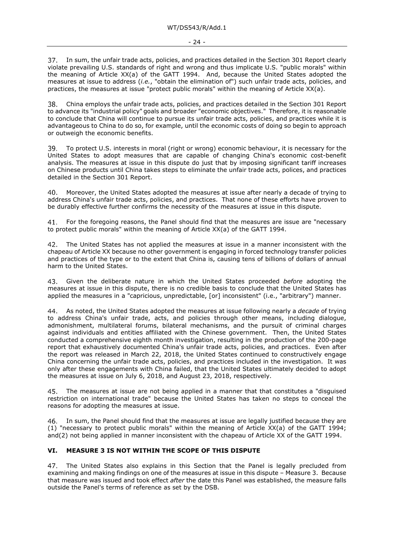In sum, the unfair trade acts, policies, and practices detailed in the Section 301 Report clearly violate prevailing U.S. standards of right and wrong and thus implicate U.S. "public morals" within the meaning of Article XX(a) of the GATT 1994. And, because the United States adopted the measures at issue to address (*i.e.*, "obtain the elimination of") such unfair trade acts, policies, and practices, the measures at issue "protect public morals" within the meaning of Article XX(a).

38. China employs the unfair trade acts, policies, and practices detailed in the Section 301 Report to advance its "industrial policy" goals and broader "economic objectives." Therefore, it is reasonable to conclude that China will continue to pursue its unfair trade acts, policies, and practices while it is advantageous to China to do so, for example, until the economic costs of doing so begin to approach or outweigh the economic benefits.

To protect U.S. interests in moral (right or wrong) economic behaviour, it is necessary for the United States to adopt measures that are capable of changing China's economic cost-benefit analysis. The measures at issue in this dispute do just that by imposing significant tariff increases on Chinese products until China takes steps to eliminate the unfair trade acts, polices, and practices detailed in the Section 301 Report.

Moreover, the United States adopted the measures at issue after nearly a decade of trying to 40. address China's unfair trade acts, policies, and practices. That none of these efforts have proven to be durably effective further confirms the necessity of the measures at issue in this dispute.

For the foregoing reasons, the Panel should find that the measures are issue are "necessary 41. to protect public morals" within the meaning of Article XX(a) of the GATT 1994.

The United States has not applied the measures at issue in a manner inconsistent with the 42 chapeau of Article XX because no other government is engaging in forced technology transfer policies and practices of the type or to the extent that China is, causing tens of billions of dollars of annual harm to the United States.

Given the deliberate nature in which the United States proceeded *before* adopting the 43. measures at issue in this dispute, there is no credible basis to conclude that the United States has applied the measures in a "capricious, unpredictable, [or] inconsistent" (i.e., "arbitrary") manner.

As noted, the United States adopted the measures at issue following nearly a *decade* of trying 44 to address China's unfair trade, acts, and policies through other means, including dialogue, admonishment, multilateral forums, bilateral mechanisms, and the pursuit of criminal charges against individuals and entities affiliated with the Chinese government. Then, the United States conducted a comprehensive eighth month investigation, resulting in the production of the 200-page report that exhaustively documented China's unfair trade acts, policies, and practices. Even after the report was released in March 22, 2018, the United States continued to constructively engage China concerning the unfair trade acts, policies, and practices included in the investigation. It was only after these engagements with China failed, that the United States ultimately decided to adopt the measures at issue on July 6, 2018, and August 23, 2018, respectively.

The measures at issue are not being applied in a manner that that constitutes a "disguised 45. restriction on international trade" because the United States has taken no steps to conceal the reasons for adopting the measures at issue.

In sum, the Panel should find that the measures at issue are legally justified because they are 46 (1) "necessary to protect public morals" within the meaning of Article XX(a) of the GATT 1994; and(2) not being applied in manner inconsistent with the chapeau of Article XX of the GATT 1994.

# **VI. MEASURE 3 IS NOT WITHIN THE SCOPE OF THIS DISPUTE**

47. The United States also explains in this Section that the Panel is legally precluded from examining and making findings on one of the measures at issue in this dispute – Measure 3. Because that measure was issued and took effect *after* the date this Panel was established, the measure falls outside the Panel's terms of reference as set by the DSB.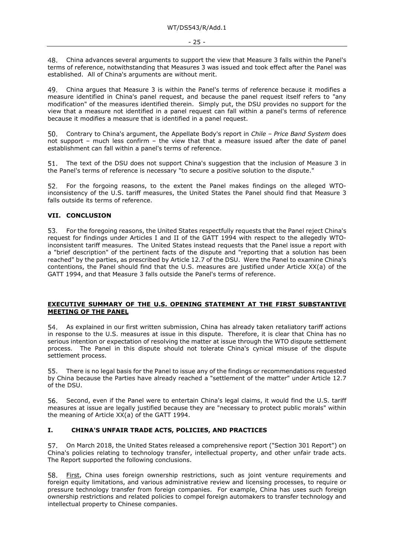China advances several arguments to support the view that Measure 3 falls within the Panel's 48 terms of reference, notwithstanding that Measures 3 was issued and took effect after the Panel was established. All of China's arguments are without merit.

49. China argues that Measure 3 is within the Panel's terms of reference because it modifies a measure identified in China's panel request, and because the panel request itself refers to "any modification" of the measures identified therein. Simply put, the DSU provides no support for the view that a measure not identified in a panel request can fall within a panel's terms of reference because it modifies a measure that is identified in a panel request.

Contrary to China's argument, the Appellate Body's report in *Chile – Price Band System* does 50. not support – much less confirm – the view that that a measure issued after the date of panel establishment can fall within a panel's terms of reference.

The text of the DSU does not support China's suggestion that the inclusion of Measure 3 in 51. the Panel's terms of reference is necessary "to secure a positive solution to the dispute."

For the forgoing reasons, to the extent the Panel makes findings on the alleged WTOinconsistency of the U.S. tariff measures, the United States the Panel should find that Measure 3 falls outside its terms of reference.

#### **VII. CONCLUSION**

For the foregoing reasons, the United States respectfully requests that the Panel reject China's 53. request for findings under Articles I and II of the GATT 1994 with respect to the allegedly WTOinconsistent tariff measures. The United States instead requests that the Panel issue a report with a "brief description" of the pertinent facts of the dispute and "reporting that a solution has been reached" by the parties, as prescribed by Article 12.7 of the DSU. Were the Panel to examine China's contentions, the Panel should find that the U.S. measures are justified under Article XX(a) of the GATT 1994, and that Measure 3 falls outside the Panel's terms of reference.

# **EXECUTIVE SUMMARY OF THE U.S. OPENING STATEMENT AT THE FIRST SUBSTANTIVE MEETING OF THE PANEL**

As explained in our first written submission, China has already taken retaliatory tariff actions 54. in response to the U.S. measures at issue in this dispute. Therefore, it is clear that China has no serious intention or expectation of resolving the matter at issue through the WTO dispute settlement process. The Panel in this dispute should not tolerate China's cynical misuse of the dispute settlement process.

There is no legal basis for the Panel to issue any of the findings or recommendations requested by China because the Parties have already reached a "settlement of the matter" under Article 12.7 of the DSU.

56. Second, even if the Panel were to entertain China's legal claims, it would find the U.S. tariff measures at issue are legally justified because they are "necessary to protect public morals" within the meaning of Article XX(a) of the GATT 1994.

# **I. CHINA'S UNFAIR TRADE ACTS, POLICIES, AND PRACTICES**

On March 2018, the United States released a comprehensive report ("Section 301 Report") on China's policies relating to technology transfer, intellectual property, and other unfair trade acts. The Report supported the following conclusions.

First, China uses foreign ownership restrictions, such as joint venture requirements and 58. foreign equity limitations, and various administrative review and licensing processes, to require or pressure technology transfer from foreign companies. For example, China has uses such foreign ownership restrictions and related policies to compel foreign automakers to transfer technology and intellectual property to Chinese companies.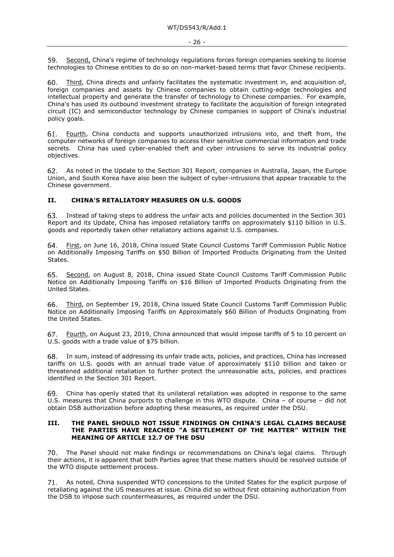Second, China's regime of technology regulations forces foreign companies seeking to license 59. technologies to Chinese entities to do so on non-market-based terms that favor Chinese recipients.

Third, China directs and unfairly facilitates the systematic investment in, and acquisition of, 60. foreign companies and assets by Chinese companies to obtain cutting-edge technologies and intellectual property and generate the transfer of technology to Chinese companies. For example, China's has used its outbound investment strategy to facilitate the acquisition of foreign integrated circuit (IC) and semiconductor technology by Chinese companies in support of China's industrial policy goals.

61. Fourth, China conducts and supports unauthorized intrusions into, and theft from, the computer networks of foreign companies to access their sensitive commercial information and trade secrets. China has used cyber-enabled theft and cyber intrusions to serve its industrial policy objectives.

As noted in the Update to the Section 301 Report, companies in Australia, Japan, the Europe 62. Union, and South Korea have also been the subject of cyber-intrusions that appear traceable to the Chinese government.

#### **II. CHINA'S RETALIATORY MEASURES ON U.S. GOODS**

Instead of taking steps to address the unfair acts and policies documented in the Section 301 63. Report and its Update, China has imposed retaliatory tariffs on approximately \$110 billion in U.S. goods and reportedly taken other retaliatory actions against U.S. companies.

First, on June 16, 2018, China issued State Council Customs Tariff Commission Public Notice 64. on Additionally Imposing Tariffs on \$50 Billion of Imported Products Originating from the United States.

Second, on August 8, 2018, China issued State Council Customs Tariff Commission Public Notice on Additionally Imposing Tariffs on \$16 Billion of Imported Products Originating from the United States.

Third, on September 19, 2018, China issued State Council Customs Tariff Commission Public 66. Notice on Additionally Imposing Tariffs on Approximately \$60 Billion of Products Originating from the United States.

Fourth, on August 23, 2019, China announced that would impose tariffs of 5 to 10 percent on U.S. goods with a trade value of \$75 billion.

In sum, instead of addressing its unfair trade acts, policies, and practices, China has increased tariffs on U.S. goods with an annual trade value of approximately \$110 billion and taken or threatened additional retaliation to further protect the unreasonable acts, policies, and practices identified in the Section 301 Report.

China has openly stated that its unilateral retaliation was adopted in response to the same U.S. measures that China purports to challenge in this WTO dispute. China – of course – did not obtain DSB authorization before adopting these measures, as required under the DSU.

#### **III. THE PANEL SHOULD NOT ISSUE FINDINGS ON CHINA'S LEGAL CLAIMS BECAUSE THE PARTIES HAVE REACHED "A SETTLEMENT OF THE MATTER" WITHIN THE MEANING OF ARTICLE 12.7 OF THE DSU**

70. The Panel should not make findings or recommendations on China's legal claims. Through their actions, it is apparent that both Parties agree that these matters should be resolved outside of the WTO dispute settlement process.

As noted, China suspended WTO concessions to the United States for the explicit purpose of retaliating against the US measures at issue. China did so without first obtaining authorization from the DSB to impose such countermeasures, as required under the DSU.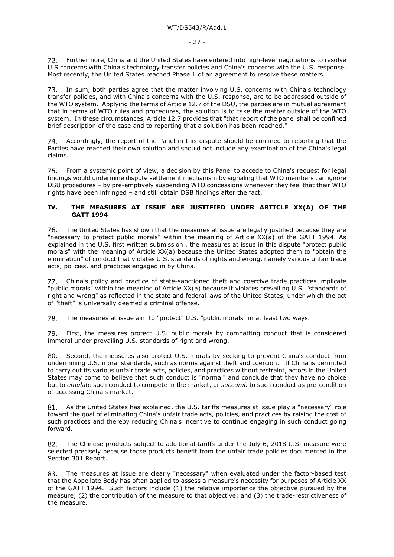Furthermore, China and the United States have entered into high-level negotiations to resolve  $72.$ U.S concerns with China's technology transfer policies and China's concerns with the U.S. response. Most recently, the United States reached Phase 1 of an agreement to resolve these matters.

73. In sum, both parties agree that the matter involving U.S. concerns with China's technology transfer policies, and with China's concerns with the U.S. response, are to be addressed outside of the WTO system. Applying the terms of Article 12.7 of the DSU, the parties are in mutual agreement that in terms of WTO rules and procedures, the solution is to take the matter outside of the WTO system. In these circumstances, Article 12.7 provides that "that report of the panel shall be confined brief description of the case and to reporting that a solution has been reached."

Accordingly, the report of the Panel in this dispute should be confined to reporting that the 74. Parties have reached their own solution and should not include any examination of the China's legal claims.

From a systemic point of view, a decision by this Panel to accede to China's request for legal findings would undermine dispute settlement mechanism by signaling that WTO members can ignore DSU procedures – by pre-emptively suspending WTO concessions whenever they feel that their WTO rights have been infringed – and still obtain DSB findings after the fact.

### **IV. THE MEASURES AT ISSUE ARE JUSTIFIED UNDER ARTICLE XX(A) OF THE GATT 1994**

76. The United States has shown that the measures at issue are legally justified because they are "necessary to protect public morals" within the meaning of Article XX(a) of the GATT 1994. As explained in the U.S. first written submission , the measures at issue in this dispute "protect public morals" with the meaning of Article XX(a) because the United States adopted them to "obtain the elimination" of conduct that violates U.S. standards of rights and wrong, namely various unfair trade acts, policies, and practices engaged in by China.

China's policy and practice of state-sanctioned theft and coercive trade practices implicate 77. "public morals" within the meaning of Article XX(a) because it violates prevailing U.S. "standards of right and wrong" as reflected in the state and federal laws of the United States, under which the act of "theft" is universally deemed a criminal offense.

78. The measures at issue aim to "protect" U.S. "public morals" in at least two ways.

79. First, the measures protect U.S. public morals by combatting conduct that is considered immoral under prevailing U.S. standards of right and wrong.

Second, the measures also protect U.S. morals by seeking to prevent China's conduct from 80. undermining U.S. moral standards, such as norms against theft and coercion. If China is permitted to carry out its various unfair trade acts, policies, and practices without restraint, actors in the United States may come to believe that such conduct is "normal" and conclude that they have no choice but to *emulate* such conduct to compete in the market, or *succumb* to such conduct as pre-condition of accessing China's market.

As the United States has explained, the U.S. tariffs measures at issue play a "necessary" role 81 toward the goal of eliminating China's unfair trade acts, policies, and practices by raising the cost of such practices and thereby reducing China's incentive to continue engaging in such conduct going forward.

82. The Chinese products subject to additional tariffs under the July 6, 2018 U.S. measure were selected precisely because those products benefit from the unfair trade policies documented in the Section 301 Report.

The measures at issue are clearly "necessary" when evaluated under the factor-based test 83. that the Appellate Body has often applied to assess a measure's necessity for purposes of Article XX of the GATT 1994. Such factors include (1) the relative importance the objective pursued by the measure; (2) the contribution of the measure to that objective; and (3) the trade-restrictiveness of the measure.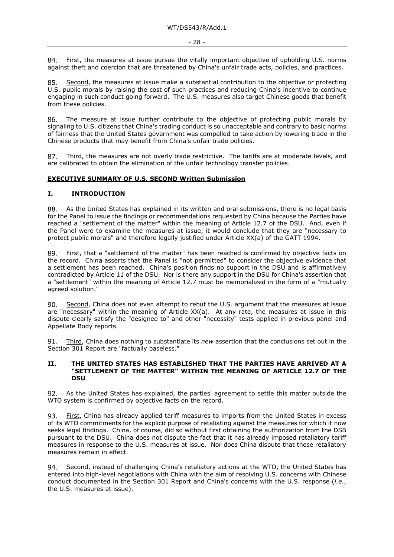First, the measures at issue pursue the vitally important objective of upholding U.S. norms against theft and coercion that are threatened by China's unfair trade acts, policies, and practices.

Second, the measures at issue make a substantial contribution to the objective or protecting 85. U.S. public morals by raising the cost of such practices and reducing China's incentive to continue engaging in such conduct going forward. The U.S. measures also target Chinese goods that benefit from these policies.

86. The measure at issue further contribute to the objective of protecting public morals by signaling to U.S. citizens that China's trading conduct is so unacceptable and contrary to basic norms of fairness that the United States government was compelled to take action by lowering trade in the Chinese products that may benefit from China's unfair trade policies.

Third, the measures are not overly trade restrictive. The tariffs are at moderate levels, and 87. are calibrated to obtain the elimination of the unfair technology transfer policies.

#### **EXECUTIVE SUMMARY OF U.S. SECOND Written Submission**

#### **I. INTRODUCTION**

As the United States has explained in its written and oral submissions, there is no legal basis 88. for the Panel to issue the findings or recommendations requested by China because the Parties have reached a "settlement of the matter" within the meaning of Article 12.7 of the DSU. And, even if the Panel were to examine the measures at issue, it would conclude that they are "necessary to protect public morals" and therefore legally justified under Article XX(a) of the GATT 1994.

89. First, that a "settlement of the matter" has been reached is confirmed by objective facts on the record. China asserts that the Panel is "not permitted" to consider the objective evidence that a settlement has been reached. China's position finds no support in the DSU and is affirmatively contradicted by Article 11 of the DSU. Nor is there any support in the DSU for China's assertion that a "settlement" within the meaning of Article 12.7 must be memorialized in the form of a "mutually agreed solution."

Second, China does not even attempt to rebut the U.S. argument that the measures at issue are "necessary" within the meaning of Article XX(a). At any rate, the measures at issue in this dispute clearly satisfy the "designed to" and other "necessity" tests applied in previous panel and Appellate Body reports.

Third, China does nothing to substantiate its *new* assertion that the conclusions set out in the 91. Section 301 Report are "factually baseless."

#### **II. THE UNITED STATES HAS ESTABLISHED THAT THE PARTIES HAVE ARRIVED AT A "SETTLEMENT OF THE MATTER" WITHIN THE MEANING OF ARTICLE 12.7 OF THE DSU**

As the United States has explained, the parties' agreement to settle this matter outside the WTO system is confirmed by objective facts on the record.

First, China has already applied tariff measures to imports from the United States in excess 93. of its WTO commitments for the explicit purpose of retaliating against the measures for which it now seeks legal findings. China, of course, did so without first obtaining the authorization from the DSB pursuant to the DSU. China does not dispute the fact that it has already imposed retaliatory tariff measures in response to the U.S. measures at issue. Nor does China dispute that these retaliatory measures remain in effect.

Second, instead of challenging China's retaliatory actions at the WTO, the United States has 94. entered into high-level negotiations with China with the aim of resolving U.S. concerns with Chinese conduct documented in the Section 301 Report and China's concerns with the U.S. response (*i.e.*, the U.S. measures at issue).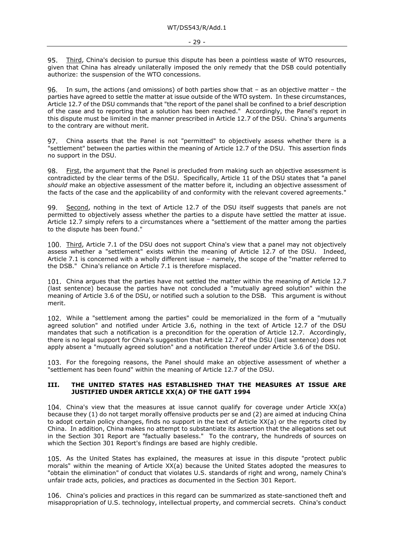Third, China's decision to pursue this dispute has been a pointless waste of WTO resources, 95. given that China has already unilaterally imposed the only remedy that the DSB could potentially authorize: the suspension of the WTO concessions.

96. In sum, the actions (and omissions) of both parties show that – as an objective matter – the parties have agreed to settle the matter at issue outside of the WTO system. In these circumstances, Article 12.7 of the DSU commands that "the report of the panel shall be confined to a brief description of the case and to reporting that a solution has been reached." Accordingly, the Panel's report in this dispute must be limited in the manner prescribed in Article 12.7 of the DSU. China's arguments to the contrary are without merit.

China asserts that the Panel is not "permitted" to objectively assess whether there is a 97. "settlement" between the parties within the meaning of Article 12.7 of the DSU. This assertion finds no support in the DSU.

First, the argument that the Panel is precluded from making such an objective assessment is 98. contradicted by the clear terms of the DSU. Specifically, Article 11 of the DSU states that "a panel *should* make an objective assessment of the matter before it, including an objective assessment of the facts of the case and the applicability of and conformity with the relevant covered agreements."

99. Second, nothing in the text of Article 12.7 of the DSU itself suggests that panels are not permitted to objectively assess whether the parties to a dispute have settled the matter at issue. Article 12.7 simply refers to a circumstances where a "settlement of the matter among the parties to the dispute has been found."

100. Third, Article 7.1 of the DSU does not support China's view that a panel may not objectively assess whether a "settlement" exists within the meaning of Article 12.7 of the DSU. Indeed, Article 7.1 is concerned with a wholly different issue – namely, the scope of the "matter referred to the DSB." China's reliance on Article 7.1 is therefore misplaced.

China argues that the parties have not settled the matter within the meaning of Article 12.7 (last sentence) because the parties have not concluded a "mutually agreed solution" within the meaning of Article 3.6 of the DSU, or notified such a solution to the DSB. This argument is without merit.

While a "settlement among the parties" could be memorialized in the form of a "mutually agreed solution" and notified under Article 3.6, nothing in the text of Article 12.7 of the DSU mandates that such a notification is a precondition for the operation of Article 12.7. Accordingly, there is no legal support for China's suggestion that Article 12.7 of the DSU (last sentence) does not apply absent a "mutually agreed solution" and a notification thereof under Article 3.6 of the DSU.

103. For the foregoing reasons, the Panel should make an objective assessment of whether a "settlement has been found" within the meaning of Article 12.7 of the DSU.

#### **III. THE UNITED STATES HAS ESTABLISHED THAT THE MEASURES AT ISSUE ARE JUSTIFIED UNDER ARTICLE XX(A) OF THE GATT 1994**

China's view that the measures at issue cannot qualify for coverage under Article XX(a) because they (1) do not target morally offensive products per se and (2) are aimed at inducing China to adopt certain policy changes, finds no support in the text of Article XX(a) or the reports cited by China. In addition, China makes no attempt to substantiate its assertion that the allegations set out in the Section 301 Report are "factually baseless." To the contrary, the hundreds of sources on which the Section 301 Report's findings are based are highly credible.

As the United States has explained, the measures at issue in this dispute "protect public morals" within the meaning of Article XX(a) because the United States adopted the measures to "obtain the elimination" of conduct that violates U.S. standards of right and wrong, namely China's unfair trade acts, policies, and practices as documented in the Section 301 Report.

China's policies and practices in this regard can be summarized as state-sanctioned theft and misappropriation of U.S. technology, intellectual property, and commercial secrets. China's conduct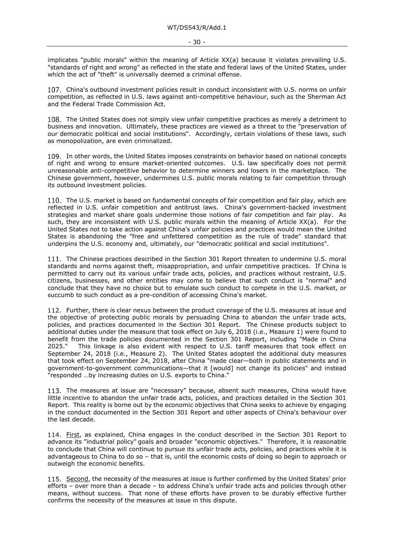- 30 -

implicates "public morals" within the meaning of Article XX(a) because it violates prevailing U.S. "standards of right and wrong" as reflected in the state and federal laws of the United States, under which the act of "theft" is universally deemed a criminal offense.

China's outbound investment policies result in conduct inconsistent with U.S. norms on unfair competition, as reflected in U.S. laws against anti-competitive behaviour, such as the Sherman Act and the Federal Trade Commission Act.

The United States does not simply view unfair competitive practices as merely a detriment to business and innovation. Ultimately, these practices are viewed as a threat to the "preservation of our democratic political and social institutions". Accordingly, certain violations of these laws, such as monopolization, are even criminalized.

109. In other words, the United States imposes constraints on behavior based on national concepts of right and wrong to ensure market-oriented outcomes. U.S. law specifically does not permit unreasonable anti-competitive behavior to determine winners and losers in the marketplace. The Chinese government, however, undermines U.S. public morals relating to fair competition through its outbound investment policies.

The U.S. market is based on fundamental concepts of fair competition and fair play, which are reflected in U.S. unfair competition and antitrust laws. China's government-backed investment strategies and market share goals undermine those notions of fair competition and fair play. As such, they are inconsistent with U.S. public morals within the meaning of Article XX(a). For the United States not to take action against China's unfair policies and practices would mean the United States is abandoning the "free and unfettered competition as the rule of trade" standard that underpins the U.S. economy and, ultimately, our "democratic political and social institutions".

111. The Chinese practices described in the Section 301 Report threaten to undermine U.S. moral standards and norms against theft, misappropriation, and unfair competitive practices. If China is permitted to carry out its various unfair trade acts, policies, and practices without restraint, U.S. citizens, businesses, and other entities may come to believe that such conduct is "normal" and conclude that they have no choice but to emulate such conduct to compete in the U.S. market, or succumb to such conduct as a pre-condition of accessing China's market.

112. Further, there is clear nexus between the product coverage of the U.S. measures at issue and the objective of protecting public morals by persuading China to abandon the unfair trade acts, policies, and practices documented in the Section 301 Report. The Chinese products subject to additional duties under the measure that took effect on July 6, 2018 (i.e., Measure 1) were found to benefit from the trade policies documented in the Section 301 Report, including "Made in China<br>2025." This linkage is also evident with respect to U.S. tariff measures that took effect on This linkage is also evident with respect to U.S. tariff measures that took effect on September 24, 2018 (i.e., Measure 2). The United States adopted the additional duty measures that took effect on September 24, 2018, after China "made clear—both in public statements and in government-to-government communications—that it [would] not change its policies" and instead "responded …by increasing duties on U.S. exports to China."

113. The measures at issue are "necessary" because, absent such measures, China would have little incentive to abandon the unfair trade acts, policies, and practices detailed in the Section 301 Report. This reality is borne out by the economic objectives that China seeks to achieve by engaging in the conduct documented in the Section 301 Report and other aspects of China's behaviour over the last decade.

114. First, as explained, China engages in the conduct described in the Section 301 Report to advance its "industrial policy" goals and broader "economic objectives." Therefore, it is reasonable to conclude that China will continue to pursue its unfair trade acts, policies, and practices while it is advantageous to China to do so – that is, until the economic costs of doing so begin to approach or outweigh the economic benefits.

115. Second, the necessity of the measures at issue is further confirmed by the United States' prior efforts – over more than a decade – to address China's unfair trade acts and policies through other means, without success. That none of these efforts have proven to be durably effective further confirms the necessity of the measures at issue in this dispute.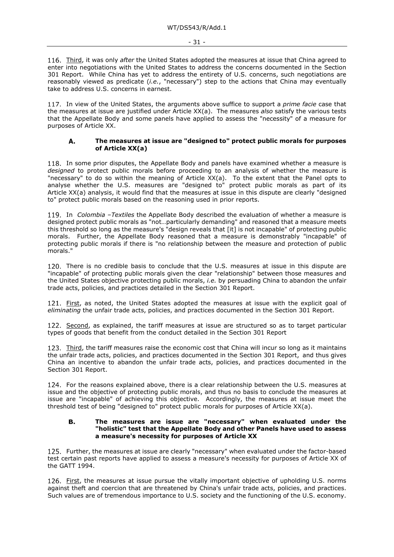Third, it was only *after* the United States adopted the measures at issue that China agreed to enter into negotiations with the United States to address the concerns documented in the Section 301 Report. While China has yet to address the entirety of U.S. concerns, such negotiations are reasonably viewed as predicate (*i.e.*, "necessary") step to the actions that China may eventually take to address U.S. concerns in earnest.

117. In view of the United States, the arguments above suffice to support a *prime facie* case that the measures at issue are justified under Article XX(a). The measures *also* satisfy the various tests that the Appellate Body and some panels have applied to assess the "necessity" of a measure for purposes of Article XX.

#### **The measures at issue are "designed to" protect public morals for purposes**  А. **of Article XX(a)**

118. In some prior disputes, the Appellate Body and panels have examined whether a measure is *designed* to protect public morals before proceeding to an analysis of whether the measure is "necessary" to do so within the meaning of Article XX(a). To the extent that the Panel opts to analyse whether the U.S. measures are "designed to" protect public morals as part of its Article XX(a) analysis, it would find that the measures at issue in this dispute are clearly "designed to" protect public morals based on the reasoning used in prior reports.

119. In *Colombia -Textiles* the Appellate Body described the evaluation of whether a measure is designed protect public morals as "not…particularly demanding" and reasoned that a measure meets this threshold so long as the measure's "design reveals that [it] is not incapable" of protecting public morals. Further, the Appellate Body reasoned that a measure is demonstrably "incapable" of protecting public morals if there is "no relationship between the measure and protection of public morals."

120. There is no credible basis to conclude that the U.S. measures at issue in this dispute are "incapable" of protecting public morals given the clear "relationship" between those measures and the United States objective protecting public morals, *i.e.* by persuading China to abandon the unfair trade acts, policies, and practices detailed in the Section 301 Report.

121. First, as noted, the United States adopted the measures at issue with the explicit goal of *eliminating* the unfair trade acts, policies, and practices documented in the Section 301 Report.

122. Second, as explained, the tariff measures at issue are structured so as to target particular types of goods that benefit from the conduct detailed in the Section 301 Report

123. Third, the tariff measures raise the economic cost that China will incur so long as it maintains the unfair trade acts, policies, and practices documented in the Section 301 Report, and thus gives China an incentive to abandon the unfair trade acts, policies, and practices documented in the Section 301 Report.

124. For the reasons explained above, there is a clear relationship between the U.S. measures at issue and the objective of protecting public morals, and thus no basis to conclude the measures at issue are "incapable" of achieving this objective. Accordingly, the measures at issue meet the threshold test of being "designed to" protect public morals for purposes of Article XX(a).

#### В. **The measures are issue are "necessary" when evaluated under the "holistic" test that the Appellate Body and other Panels have used to assess a measure's necessity for purposes of Article XX**

125. Further, the measures at issue are clearly "necessary" when evaluated under the factor-based test certain past reports have applied to assess a measure's necessity for purposes of Article XX of the GATT 1994.

126. First, the measures at issue pursue the vitally important objective of upholding U.S. norms against theft and coercion that are threatened by China's unfair trade acts, policies, and practices. Such values are of tremendous importance to U.S. society and the functioning of the U.S. economy.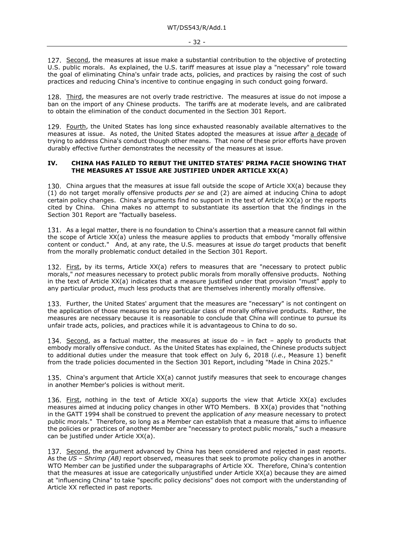127. Second, the measures at issue make a substantial contribution to the objective of protecting U.S. public morals. As explained, the U.S. tariff measures at issue play a "necessary" role toward the goal of eliminating China's unfair trade acts, policies, and practices by raising the cost of such practices and reducing China's incentive to continue engaging in such conduct going forward.

128. Third, the measures are not overly trade restrictive. The measures at issue do not impose a ban on the import of any Chinese products. The tariffs are at moderate levels, and are calibrated to obtain the elimination of the conduct documented in the Section 301 Report.

129. Fourth, the United States has long since exhausted reasonably available alternatives to the measures at issue. As noted, the United States adopted the measures at issue *after* a decade of trying to address China's conduct though other means. That none of these prior efforts have proven durably effective further demonstrates the necessity of the measures at issue.

#### **IV. CHINA HAS FAILED TO REBUT THE UNITED STATES' PRIMA FACIE SHOWING THAT THE MEASURES AT ISSUE ARE JUSTIFIED UNDER ARTICLE XX(A)**

China argues that the measures at issue fall outside the scope of Article XX(a) because they (1) do not target morally offensive products *per se* and (2) are aimed at inducing China to adopt certain policy changes. China's arguments find no support in the text of Article XX(a) or the reports cited by China. China makes no attempt to substantiate its assertion that the findings in the Section 301 Report are "factually baseless.

131. As a legal matter, there is no foundation to China's assertion that a measure cannot fall within the scope of Article XX(a) unless the measure applies to products that embody "morally offensive content or conduct." And, at any rate, the U.S. measures at issue *do* target products that benefit from the morally problematic conduct detailed in the Section 301 Report.

132. First, by its terms, Article XX(a) refers to measures that are "necessary to protect public morals," *not* measures necessary to protect public morals from morally offensive products. Nothing in the text of Article XX(a) indicates that a measure justified under that provision "must" apply to any particular product, much less products that are themselves inherently morally offensive.

133. Further, the United States' argument that the measures are "necessary" is not contingent on the application of those measures to any particular class of morally offensive products. Rather, the measures are necessary because it is reasonable to conclude that China will continue to pursue its unfair trade acts, policies, and practices while it is advantageous to China to do so.

134. Second, as a factual matter, the measures at issue do – in fact – apply to products that embody morally offensive conduct. As the United States has explained, the Chinese products subject to additional duties under the measure that took effect on July 6, 2018 (*i.e*., Measure 1) benefit from the trade policies documented in the Section 301 Report, including "Made in China 2025."

China's argument that Article XX(a) cannot justify measures that seek to encourage changes in another Member's policies is without merit.

136. First, nothing in the text of Article XX(a) supports the view that Article XX(a) excludes measures aimed at inducing policy changes in other WTO Members. B XX(a) provides that "nothing in the GATT 1994 shall be construed to prevent the application of *any* measure necessary to protect public morals." Therefore, so long as a Member can establish that a measure that aims to influence the policies or practices of another Member are "necessary to protect public morals," such a measure can be justified under Article XX(a).

137. Second, the argument advanced by China has been considered and rejected in past reports. As the *US – Shrimp (AB)* report observed, measures that seek to promote policy changes in another WTO Member *can* be justified under the subparagraphs of Article XX. Therefore, China's contention that the measures at issue are categorically unjustified under Article XX(a) because they are aimed at "influencing China" to take "specific policy decisions" does not comport with the understanding of Article XX reflected in past reports*.*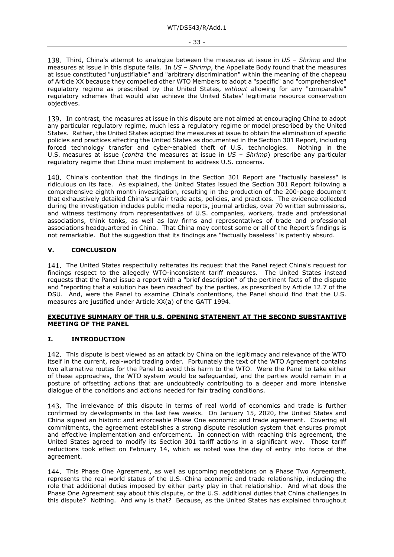Third, China's attempt to analogize between the measures at issue in *US – Shrimp* and the measures at issue in this dispute fails. In *US – Shrimp*, the Appellate Body found that the measures at issue constituted "unjustifiable" and "arbitrary discrimination" within the meaning of the chapeau of Article XX because they compelled other WTO Members to adopt a "specific" and "comprehensive" regulatory regime as prescribed by the United States, *without* allowing for any "comparable" regulatory schemes that would also achieve the United States' legitimate resource conservation objectives.

139. In contrast, the measures at issue in this dispute are not aimed at encouraging China to adopt any particular regulatory regime, much less a regulatory regime or model prescribed by the United States. Rather, the United States adopted the measures at issue to obtain the elimination of specific policies and practices affecting the United States as documented in the Section 301 Report, including forced technology transfer and cyber-enabled theft of U.S. technologies. Nothing in the U.S. measures at issue (*contra* the measures at issue in US - Shrimp) prescribe any particular regulatory regime that China must implement to address U.S. concerns.

140. China's contention that the findings in the Section 301 Report are "factually baseless" is ridiculous on its face. As explained, the United States issued the Section 301 Report following a comprehensive eighth month investigation, resulting in the production of the 200-page document that exhaustively detailed China's unfair trade acts, policies, and practices. The evidence collected during the investigation includes public media reports, journal articles, over 70 written submissions, and witness testimony from representatives of U.S. companies, workers, trade and professional associations, think tanks, as well as law firms and representatives of trade and professional associations headquartered in China. That China may contest some or all of the Report's findings is not remarkable. But the suggestion that its findings are "factually baseless" is patently absurd.

# **V. CONCLUSION**

141. The United States respectfully reiterates its request that the Panel reject China's request for findings respect to the allegedly WTO-inconsistent tariff measures. The United States instead requests that the Panel issue a report with a "brief description" of the pertinent facts of the dispute and "reporting that a solution has been reached" by the parties, as prescribed by Article 12.7 of the DSU. And, were the Panel to examine China's contentions, the Panel should find that the U.S. measures are justified under Article XX(a) of the GATT 1994.

# **EXECUTIVE SUMMARY OF THR U.S. OPENING STATEMENT AT THE SECOND SUBSTANTIVE MEETING OF THE PANEL**

# **I. INTRODUCTION**

142. This dispute is best viewed as an attack by China on the legitimacy and relevance of the WTO itself in the current, real-world trading order. Fortunately the text of the WTO Agreement contains two alternative routes for the Panel to avoid this harm to the WTO. Were the Panel to take either of these approaches, the WTO system would be safeguarded, and the parties would remain in a posture of offsetting actions that are undoubtedly contributing to a deeper and more intensive dialogue of the conditions and actions needed for fair trading conditions.

143. The irrelevance of this dispute in terms of real world of economics and trade is further confirmed by developments in the last few weeks. On January 15, 2020, the United States and China signed an historic and enforceable Phase One economic and trade agreement. Covering all commitments, the agreement establishes a strong dispute resolution system that ensures prompt and effective implementation and enforcement. In connection with reaching this agreement, the United States agreed to modify its Section 301 tariff actions in a significant way. Those tariff reductions took effect on February 14, which as noted was the day of entry into force of the agreement.

144. This Phase One Agreement, as well as upcoming negotiations on a Phase Two Agreement, represents the real world status of the U.S.-China economic and trade relationship, including the role that additional duties imposed by either party play in that relationship. And what does the Phase One Agreement say about this dispute, or the U.S. additional duties that China challenges in this dispute? Nothing. And why is that? Because, as the United States has explained throughout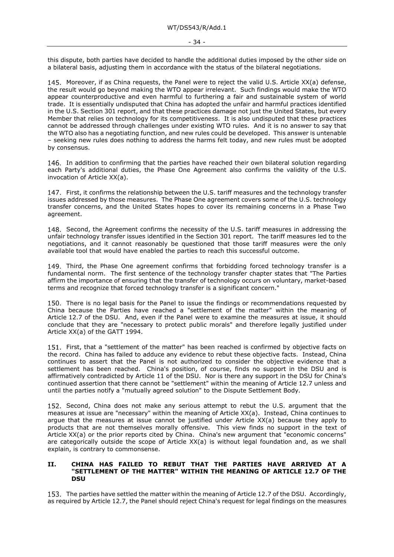this dispute, both parties have decided to handle the additional duties imposed by the other side on a bilateral basis, adjusting them in accordance with the status of the bilateral negotiations.

145. Moreover, if as China requests, the Panel were to reject the valid U.S. Article XX(a) defense, the result would go beyond making the WTO appear irrelevant. Such findings would make the WTO appear counterproductive and even harmful to furthering a fair and sustainable system of world trade. It is essentially undisputed that China has adopted the unfair and harmful practices identified in the U.S. Section 301 report, and that these practices damage not just the United States, but every Member that relies on technology for its competitiveness. It is also undisputed that these practices cannot be addressed through challenges under existing WTO rules. And it is no answer to say that the WTO also has a negotiating function, and new rules could be developed. This answer is untenable – seeking new rules does nothing to address the harms felt today, and new rules must be adopted by consensus.

146. In addition to confirming that the parties have reached their own bilateral solution regarding each Party's additional duties, the Phase One Agreement also confirms the validity of the U.S. invocation of Article XX(a).

147. First, it confirms the relationship between the U.S. tariff measures and the technology transfer issues addressed by those measures. The Phase One agreement covers some of the U.S. technology transfer concerns, and the United States hopes to cover its remaining concerns in a Phase Two agreement.

148. Second, the Agreement confirms the necessity of the U.S. tariff measures in addressing the unfair technology transfer issues identified in the Section 301 report. The tariff measures led to the negotiations, and it cannot reasonably be questioned that those tariff measures were the only available tool that would have enabled the parties to reach this successful outcome.

149. Third, the Phase One agreement confirms that forbidding forced technology transfer is a fundamental norm. The first sentence of the technology transfer chapter states that "The Parties affirm the importance of ensuring that the transfer of technology occurs on voluntary, market-based terms and recognize that forced technology transfer is a significant concern."

150. There is no legal basis for the Panel to issue the findings or recommendations requested by China because the Parties have reached a "settlement of the matter" within the meaning of Article 12.7 of the DSU. And, even if the Panel were to examine the measures at issue, it should conclude that they are "necessary to protect public morals" and therefore legally justified under Article XX(a) of the GATT 1994.

151. First, that a "settlement of the matter" has been reached is confirmed by objective facts on the record. China has failed to adduce any evidence to rebut these objective facts. Instead, China continues to assert that the Panel is not authorized to consider the objective evidence that a settlement has been reached. China's position, of course, finds no support in the DSU and is affirmatively contradicted by Article 11 of the DSU. Nor is there any support in the DSU for China's continued assertion that there cannot be "settlement" within the meaning of Article 12.7 unless and until the parties notify a "mutually agreed solution" to the Dispute Settlement Body.

152. Second, China does not make any serious attempt to rebut the U.S. argument that the measures at issue are "necessary" within the meaning of Article XX(a). Instead, China continues to argue that the measures at issue cannot be justified under Article XX(a) because they apply to products that are not themselves morally offensive. This view finds no support in the text of Article XX(a) or the prior reports cited by China. China's new argument that "economic concerns" are categorically outside the scope of Article XX(a) is without legal foundation and, as we shall explain, is contrary to commonsense.

#### **II. CHINA HAS FAILED TO REBUT THAT THE PARTIES HAVE ARRIVED AT A "SETTLEMENT OF THE MATTER" WITHIN THE MEANING OF ARTICLE 12.7 OF THE DSU**

153. The parties have settled the matter within the meaning of Article 12.7 of the DSU. Accordingly, as required by Article 12.7, the Panel should reject China's request for legal findings on the measures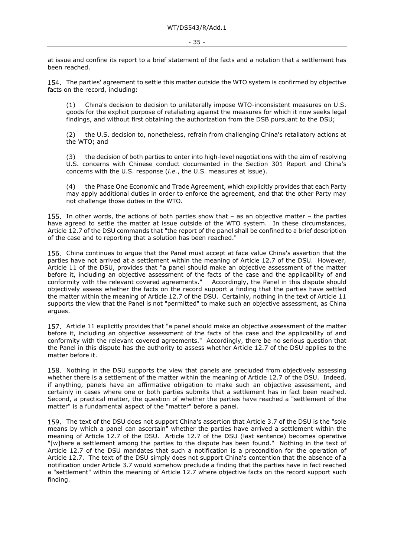at issue and confine its report to a brief statement of the facts and a notation that a settlement has been reached.

154. The parties' agreement to settle this matter outside the WTO system is confirmed by objective facts on the record, including:

(1) China's decision to decision to unilaterally impose WTO-inconsistent measures on U.S. goods for the explicit purpose of retaliating against the measures for which it now seeks legal findings, and without first obtaining the authorization from the DSB pursuant to the DSU;

(2) the U.S. decision to, nonetheless, refrain from challenging China's retaliatory actions at the WTO; and

(3) the decision of both parties to enter into high-level negotiations with the aim of resolving U.S. concerns with Chinese conduct documented in the Section 301 Report and China's concerns with the U.S. response (*i.e.*, the U.S. measures at issue).

(4) the Phase One Economic and Trade Agreement, which explicitly provides that each Party may apply additional duties in order to enforce the agreement, and that the other Party may not challenge those duties in the WTO.

155. In other words, the actions of both parties show that  $-$  as an objective matter  $-$  the parties have agreed to settle the matter at issue outside of the WTO system. In these circumstances, Article 12.7 of the DSU commands that "the report of the panel shall be confined to a brief description of the case and to reporting that a solution has been reached."

China continues to argue that the Panel must accept at face value China's assertion that the parties have not arrived at a settlement within the meaning of Article 12.7 of the DSU. However, Article 11 of the DSU, provides that "a panel should make an objective assessment of the matter before it, including an objective assessment of the facts of the case and the applicability of and conformity with the relevant covered agreements." Accordingly, the Panel in this dispute should objectively assess whether the facts on the record support a finding that the parties have settled the matter within the meaning of Article 12.7 of the DSU. Certainly, nothing in the text of Article 11 supports the view that the Panel is not "permitted" to make such an objective assessment, as China argues.

157. Article 11 explicitly provides that "a panel should make an objective assessment of the matter before it, including an objective assessment of the facts of the case and the applicability of and conformity with the relevant covered agreements." Accordingly, there be no serious question that the Panel in this dispute has the authority to assess whether Article 12.7 of the DSU applies to the matter before it.

158. Nothing in the DSU supports the view that panels are precluded from objectively assessing whether there is a settlement of the matter within the meaning of Article 12.7 of the DSU. Indeed, if anything, panels have an affirmative obligation to make such an objective assessment, and certainly in cases where one or both parties submits that a settlement has in fact been reached. Second, a practical matter, the question of whether the parties have reached a "settlement of the matter" is a fundamental aspect of the "matter" before a panel.

159. The text of the DSU does not support China's assertion that Article 3.7 of the DSU is the "sole means by which a panel can ascertain" whether the parties have arrived a settlement within the meaning of Article 12.7 of the DSU. Article 12.7 of the DSU (last sentence) becomes operative "[w]here a settlement among the parties to the dispute has been found." Nothing in the text of Article 12.7 of the DSU mandates that such a notification is a precondition for the operation of Article 12.7. The text of the DSU simply does not support China's contention that the absence of a notification under Article 3.7 would somehow preclude a finding that the parties have in fact reached a "settlement" within the meaning of Article 12.7 where objective facts on the record support such finding.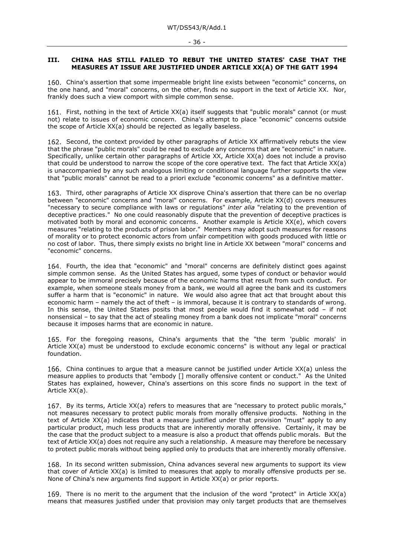#### - 36 -

#### **III. CHINA HAS STILL FAILED TO REBUT THE UNITED STATES' CASE THAT THE MEASURES AT ISSUE ARE JUSTIFIED UNDER ARTICLE XX(A) OF THE GATT 1994**

160. China's assertion that some impermeable bright line exists between "economic" concerns, on the one hand, and "moral" concerns, on the other, finds no support in the text of Article XX. Nor, frankly does such a view comport with simple common sense.

161. First, nothing in the text of Article XX(a) itself suggests that "public morals" cannot (or must not) relate to issues of economic concern. China's attempt to place "economic" concerns outside the scope of Article XX(a) should be rejected as legally baseless.

162. Second, the context provided by other paragraphs of Article XX affirmatively rebuts the view that the phrase "public morals" could be read to exclude any concerns that are "economic" in nature. Specifically, unlike certain other paragraphs of Article XX, Article XX(a) does not include a proviso that could be understood to narrow the scope of the core operative text. The fact that Article XX(a) is unaccompanied by any such analogous limiting or conditional language further supports the view that "public morals" cannot be read to a priori exclude "economic concerns" as a definitive matter.

Third, other paragraphs of Article XX disprove China's assertion that there can be no overlap between "economic" concerns and "moral" concerns. For example, Article XX(d) covers measures "necessary to secure compliance with laws or regulations" *inter alia* "relating to the prevention of deceptive practices." No one could reasonably dispute that the prevention of deceptive practices is motivated both by moral and economic concerns. Another example is Article XX(e), which covers measures "relating to the products of prison labor." Members may adopt such measures for reasons of morality or to protect economic actors from unfair competition with goods produced with little or no cost of labor. Thus, there simply exists no bright line in Article XX between "moral" concerns and "economic" concerns.

164. Fourth, the idea that "economic" and "moral" concerns are definitely distinct goes against simple common sense. As the United States has argued, some types of conduct or behavior would appear to be immoral precisely because of the economic harms that result from such conduct. For example, when someone steals money from a bank, we would all agree the bank and its customers suffer a harm that is "economic" in nature. We would also agree that act that brought about this economic harm – namely the act of theft – is immoral, because it is contrary to standards of wrong. In this sense, the United States posits that most people would find it somewhat odd – if not nonsensical – to say that the act of stealing money from a bank does not implicate "moral" concerns because it imposes harms that are economic in nature.

165. For the foregoing reasons, China's arguments that the "the term 'public morals' in Article XX(a) must be understood to exclude economic concerns" is without any legal or practical foundation.

China continues to argue that a measure cannot be justified under Article XX(a) unless the measure applies to products that "embody [] morally offensive content or conduct." As the United States has explained, however, China's assertions on this score finds no support in the text of Article XX(a).

167. By its terms, Article  $XX(a)$  refers to measures that are "necessary to protect public morals," not measures necessary to protect public morals from morally offensive products. Nothing in the text of Article XX(a) indicates that a measure justified under that provision "must" apply to any particular product, much less products that are inherently morally offensive. Certainly, it may be the case that the product subject to a measure is also a product that offends public morals. But the text of Article XX(a) does not require any such a relationship. A measure may therefore be necessary to protect public morals without being applied only to products that are inherently morally offensive.

168. In its second written submission, China advances several new arguments to support its view that cover of Article XX(a) is limited to measures that apply to morally offensive products per se. None of China's new arguments find support in Article XX(a) or prior reports.

There is no merit to the argument that the inclusion of the word "protect" in Article XX(a) means that measures justified under that provision may only target products that are themselves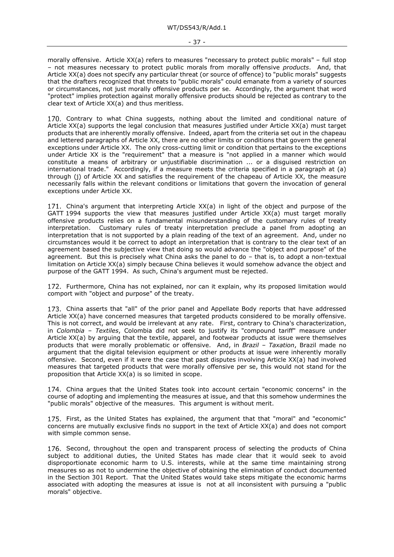morally offensive. Article XX(a) refers to measures "necessary to protect public morals" – full stop – not measures necessary to protect public morals from morally offensive *products*. And, that Article XX(a) does not specify any particular threat (or source of offence) to "public morals" suggests that the drafters recognized that threats to "public morals" could emanate from a variety of sources or circumstances, not just morally offensive products per se. Accordingly, the argument that word "protect" implies protection against morally offensive products should be rejected as contrary to the clear text of Article XX(a) and thus meritless.

170. Contrary to what China suggests, nothing about the limited and conditional nature of Article XX(a) supports the legal conclusion that measures justified under Article XX(a) must target products that are inherently morally offensive. Indeed, apart from the criteria set out in the chapeau and lettered paragraphs of Article XX, there are no other limits or conditions that govern the general exceptions under Article XX. The only cross-cutting limit or condition that pertains to the exceptions under Article XX is the "requirement" that a measure is "not applied in a manner which would constitute a means of arbitrary or unjustifiable discrimination ... or a disguised restriction on international trade." Accordingly, if a measure meets the criteria specified in a paragraph at (a) through (j) of Article XX and satisfies the requirement of the chapeau of Article XX, the measure necessarily falls within the relevant conditions or limitations that govern the invocation of general exceptions under Article XX.

China's argument that interpreting Article XX(a) in light of the object and purpose of the GATT 1994 supports the view that measures justified under Article XX(a) must target morally offensive products relies on a fundamental misunderstanding of the customary rules of treaty interpretation. Customary rules of treaty interpretation preclude a panel from adopting an interpretation that is not supported by a plain reading of the text of an agreement. And, under no circumstances would it be correct to adopt an interpretation that is contrary to the clear text of an agreement based the subjective view that doing so would advance the "object and purpose" of the agreement. But this is precisely what China asks the panel to do – that is, to adopt a non-textual limitation on Article XX(a) simply because China believes it would somehow advance the object and purpose of the GATT 1994. As such, China's argument must be rejected.

172. Furthermore, China has not explained, nor can it explain, why its proposed limitation would comport with "object and purpose" of the treaty.

China asserts that "all" of the prior panel and Appellate Body reports that have addressed Article XX(a) have concerned measures that targeted products considered to be morally offensive. This is not correct, and would be irrelevant at any rate. First, contrary to China's characterization, in *Colombia – Textiles*, Colombia did not seek to justify its "compound tariff" measure under Article XX(a) by arguing that the textile, apparel, and footwear products at issue were themselves products that were morally problematic or offensive. And, in *Brazil – Taxation*, Brazil made no argument that the digital television equipment or other products at issue were inherently morally offensive. Second, even if it were the case that past disputes involving Article XX(a) had involved measures that targeted products that were morally offensive per se, this would not stand for the proposition that Article XX(a) is so limited in scope.

China argues that the United States took into account certain "economic concerns" in the course of adopting and implementing the measures at issue, and that this somehow undermines the "public morals" objective of the measures. This argument is without merit.

175. First, as the United States has explained, the argument that that "moral" and "economic" concerns are mutually exclusive finds no support in the text of Article XX(a) and does not comport with simple common sense.

176. Second, throughout the open and transparent process of selecting the products of China subject to additional duties, the United States has made clear that it would seek to avoid disproportionate economic harm to U.S. interests, while at the same time maintaining strong measures so as not to undermine the objective of obtaining the elimination of conduct documented in the Section 301 Report. That the United States would take steps mitigate the economic harms associated with adopting the measures at issue is not at all inconsistent with pursuing a "public morals" objective.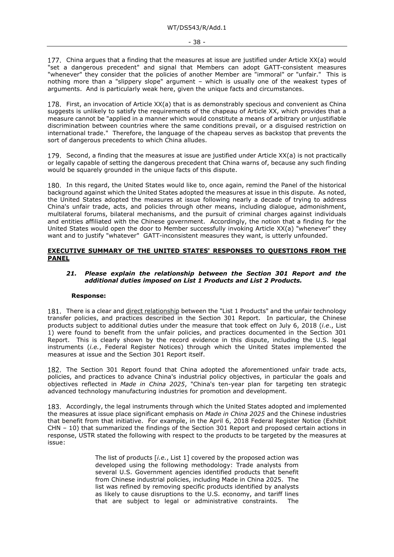China argues that a finding that the measures at issue are justified under Article XX(a) would "set a dangerous precedent" and signal that Members can adopt GATT-consistent measures "whenever" they consider that the policies of another Member are "immoral" or "unfair." This is nothing more than a "slippery slope" argument – which is usually one of the weakest types of arguments. And is particularly weak here, given the unique facts and circumstances.

178. First, an invocation of Article XX(a) that is as demonstrably specious and convenient as China suggests is unlikely to satisfy the requirements of the chapeau of Article XX, which provides that a measure cannot be "applied in a manner which would constitute a means of arbitrary or unjustifiable discrimination between countries where the same conditions prevail, or a disguised restriction on international trade." Therefore, the language of the chapeau serves as backstop that prevents the sort of dangerous precedents to which China alludes.

179. Second, a finding that the measures at issue are justified under Article  $XX(a)$  is not practically or legally capable of setting the dangerous precedent that China warns of, because any such finding would be squarely grounded in the unique facts of this dispute.

180. In this regard, the United States would like to, once again, remind the Panel of the historical background against which the United States adopted the measures at issue in this dispute. As noted, the United States adopted the measures at issue following nearly a decade of trying to address China's unfair trade, acts, and policies through other means, including dialogue, admonishment, multilateral forums, bilateral mechanisms, and the pursuit of criminal charges against individuals and entities affiliated with the Chinese government. Accordingly, the notion that a finding for the United States would open the door to Member successfully invoking Article XX(a) "whenever" they want and to justify "whatever" GATT-inconsistent measures they want, is utterly unfounded.

### **EXECUTIVE SUMMARY OF THE UNITED STATES' RESPONSES TO QUESTIONS FROM THE PANEL**

#### *21. Please explain the relationship between the Section 301 Report and the additional duties imposed on List 1 Products and List 2 Products.*

#### **Response:**

181. There is a clear and direct relationship between the "List 1 Products" and the unfair technology transfer policies, and practices described in the Section 301 Report. In particular, the Chinese products subject to additional duties under the measure that took effect on July 6, 2018 (*i.e*., List 1) were found to benefit from the unfair policies, and practices documented in the Section 301 Report. This is clearly shown by the record evidence in this dispute, including the U.S. legal instruments (*i.e.*, Federal Register Notices) through which the United States implemented the measures at issue and the Section 301 Report itself.

182. The Section 301 Report found that China adopted the aforementioned unfair trade acts, policies, and practices to advance China's industrial policy objectives, in particular the goals and objectives reflected in *Made in China 2025*, "China's ten-year plan for targeting ten strategic advanced technology manufacturing industries for promotion and development.

Accordingly, the legal instruments through which the United States adopted and implemented the measures at issue place significant emphasis on *Made in China 2025* and the Chinese industries that benefit from that initiative. For example, in the April 6, 2018 Federal Register Notice (Exhibit CHN – 10) that summarized the findings of the Section 301 Report and proposed certain actions in response, USTR stated the following with respect to the products to be targeted by the measures at issue:

> The list of products [*i.e.*, List 1] covered by the proposed action was developed using the following methodology: Trade analysts from several U.S. Government agencies identified products that benefit from Chinese industrial policies, including Made in China 2025. The list was refined by removing specific products identified by analysts as likely to cause disruptions to the U.S. economy, and tariff lines that are subject to legal or administrative constraints. The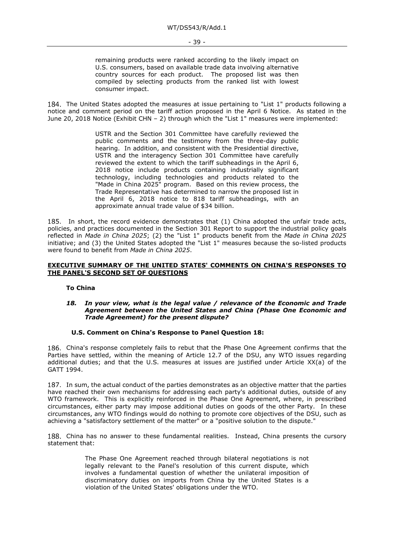remaining products were ranked according to the likely impact on U.S. consumers, based on available trade data involving alternative country sources for each product. The proposed list was then compiled by selecting products from the ranked list with lowest consumer impact.

184. The United States adopted the measures at issue pertaining to "List 1" products following a notice and comment period on the tariff action proposed in the April 6 Notice. As stated in the June 20, 2018 Notice (Exhibit CHN – 2) through which the "List 1" measures were implemented:

> USTR and the Section 301 Committee have carefully reviewed the public comments and the testimony from the three-day public hearing. In addition, and consistent with the Presidential directive, USTR and the interagency Section 301 Committee have carefully reviewed the extent to which the tariff subheadings in the April 6, 2018 notice include products containing industrially significant technology, including technologies and products related to the "Made in China 2025" program. Based on this review process, the Trade Representative has determined to narrow the proposed list in the April 6, 2018 notice to 818 tariff subheadings, with an approximate annual trade value of \$34 billion.

185. In short, the record evidence demonstrates that  $(1)$  China adopted the unfair trade acts, policies, and practices documented in the Section 301 Report to support the industrial policy goals reflected in *Made in China 2025*; (2) the "List 1" products benefit from the *Made in China 2025* initiative; and (3) the United States adopted the "List 1" measures because the so-listed products were found to benefit from *Made in China 2025*.

#### **EXECUTIVE SUMMARY OF THE UNITED STATES' COMMENTS ON CHINA'S RESPONSES TO THE PANEL'S SECOND SET OF QUESTIONS**

**To China**

#### *18. In your view, what is the legal value / relevance of the Economic and Trade Agreement between the United States and China (Phase One Economic and Trade Agreement) for the present dispute?*

#### **U.S. Comment on China's Response to Panel Question 18:**

China's response completely fails to rebut that the Phase One Agreement confirms that the Parties have settled, within the meaning of Article 12.7 of the DSU, any WTO issues regarding additional duties; and that the U.S. measures at issues are justified under Article XX(a) of the GATT 1994.

187. In sum, the actual conduct of the parties demonstrates as an objective matter that the parties have reached their own mechanisms for addressing each party's additional duties, outside of any WTO framework. This is explicitly reinforced in the Phase One Agreement, where, in prescribed circumstances, either party may impose additional duties on goods of the other Party. In these circumstances, any WTO findings would do nothing to promote core objectives of the DSU, such as achieving a "satisfactory settlement of the matter" or a "positive solution to the dispute."

188. China has no answer to these fundamental realities. Instead, China presents the cursory statement that:

> The Phase One Agreement reached through bilateral negotiations is not legally relevant to the Panel's resolution of this current dispute, which involves a fundamental question of whether the unilateral imposition of discriminatory duties on imports from China by the United States is a violation of the United States' obligations under the WTO.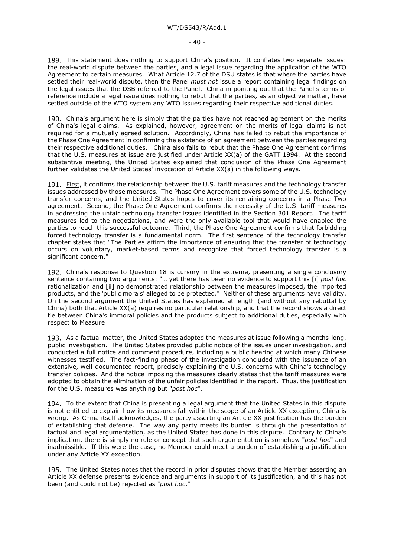189. This statement does nothing to support China's position. It conflates two separate issues: the real-world dispute between the parties, and a legal issue regarding the application of the WTO Agreement to certain measures. What Article 12.7 of the DSU states is that where the parties have settled their real-world dispute, then the Panel *must not* issue a report containing legal findings on the legal issues that the DSB referred to the Panel. China in pointing out that the Panel's terms of reference include a legal issue does nothing to rebut that the parties, as an objective matter, have settled outside of the WTO system any WTO issues regarding their respective additional duties.

190. China's argument here is simply that the parties have not reached agreement on the merits of China's legal claims. As explained, however, agreement on the merits of legal claims is not required for a mutually agreed solution. Accordingly, China has failed to rebut the importance of the Phase One Agreement in confirming the existence of an agreement between the parties regarding their respective additional duties. China also fails to rebut that the Phase One Agreement confirms that the U.S. measures at issue are justified under Article XX(a) of the GATT 1994. At the second substantive meeting, the United States explained that conclusion of the Phase One Agreement further validates the United States' invocation of Article XX(a) in the following ways.

First, it confirms the relationship between the U.S. tariff measures and the technology transfer issues addressed by those measures. The Phase One Agreement covers some of the U.S. technology transfer concerns, and the United States hopes to cover its remaining concerns in a Phase Two agreement. Second, the Phase One Agreement confirms the necessity of the U.S. tariff measures in addressing the unfair technology transfer issues identified in the Section 301 Report. The tariff measures led to the negotiations, and were the only available tool that would have enabled the parties to reach this successful outcome. Third, the Phase One Agreement confirms that forbidding forced technology transfer is a fundamental norm. The first sentence of the technology transfer chapter states that "The Parties affirm the importance of ensuring that the transfer of technology occurs on voluntary, market-based terms and recognize that forced technology transfer is a significant concern."

China's response to Question 18 is cursory in the extreme, presenting a single conclusory sentence containing two arguments: "… yet there has been no evidence to support this [i] *post hoc* rationalization and [ii] no demonstrated relationship between the measures imposed, the imported products, and the 'public morals' alleged to be protected." Neither of these arguments have validity. On the second argument the United States has explained at length (and without any rebuttal by China) both that Article XX(a) requires no particular relationship, and that the record shows a direct tie between China's immoral policies and the products subject to additional duties, especially with respect to Measure

As a factual matter, the United States adopted the measures at issue following a months-long, public investigation. The United States provided public notice of the issues under investigation, and conducted a full notice and comment procedure, including a public hearing at which many Chinese witnesses testified. The fact-finding phase of the investigation concluded with the issuance of an extensive, well-documented report, precisely explaining the U.S. concerns with China's technology transfer policies. And the notice imposing the measures clearly states that the tariff measures were adopted to obtain the elimination of the unfair policies identified in the report. Thus, the justification for the U.S. measures was anything but "*post hoc*".

194. To the extent that China is presenting a legal argument that the United States in this dispute is not entitled to explain how its measures fall within the scope of an Article XX exception, China is wrong. As China itself acknowledges, the party asserting an Article XX justification has the burden of establishing that defense. The way any party meets its burden is through the presentation of factual and legal argumentation, as the United States has done in this dispute. Contrary to China's implication, there is simply no rule or concept that such argumentation is somehow "*post hoc*" and inadmissible. If this were the case, no Member could meet a burden of establishing a justification under any Article XX exception.

195. The United States notes that the record in prior disputes shows that the Member asserting an Article XX defense presents evidence and arguments in support of its justification, and this has not been (and could not be) rejected as "*post hoc*."

**\_\_\_\_\_\_\_\_\_\_\_\_\_\_\_**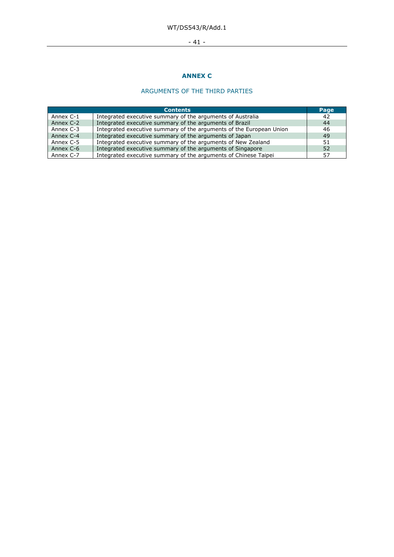# WT/DS543/R/Add.1

# - 41 -

# **ANNEX C**

# ARGUMENTS OF THE THIRD PARTIES

|           | <b>Contents</b>                                                     | Page |
|-----------|---------------------------------------------------------------------|------|
| Annex C-1 | Integrated executive summary of the arguments of Australia          | 42   |
| Annex C-2 | Integrated executive summary of the arguments of Brazil             | 44   |
| Annex C-3 | Integrated executive summary of the arguments of the European Union | 46   |
| Annex C-4 | Integrated executive summary of the arguments of Japan              | 49   |
| Annex C-5 | Integrated executive summary of the arguments of New Zealand        | 51   |
| Annex C-6 | Integrated executive summary of the arguments of Singapore          | 52   |
| Annex C-7 | Integrated executive summary of the arguments of Chinese Taipei     | 57   |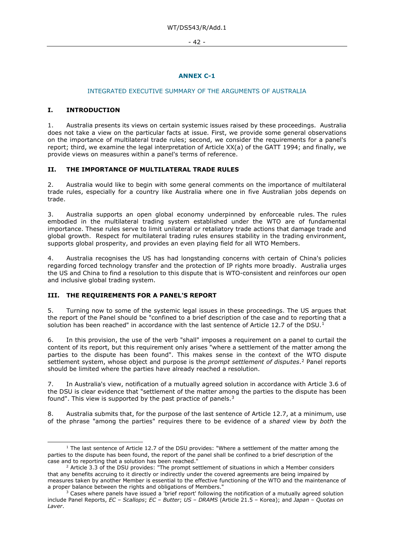- 42 -

# **ANNEX C-1**

#### INTEGRATED EXECUTIVE SUMMARY OF THE ARGUMENTS OF AUSTRALIA

# **I. INTRODUCTION**

1. Australia presents its views on certain systemic issues raised by these proceedings. Australia does not take a view on the particular facts at issue. First, we provide some general observations on the importance of multilateral trade rules; second, we consider the requirements for a panel's report; third, we examine the legal interpretation of Article XX(a) of the GATT 1994; and finally, we provide views on measures within a panel's terms of reference.

# **II. THE IMPORTANCE OF MULTILATERAL TRADE RULES**

2. Australia would like to begin with some general comments on the importance of multilateral trade rules, especially for a country like Australia where one in five Australian jobs depends on trade.

3. Australia supports an open global economy underpinned by enforceable rules. The rules embodied in the multilateral trading system established under the WTO are of fundamental importance. These rules serve to limit unilateral or retaliatory trade actions that damage trade and global growth. Respect for multilateral trading rules ensures stability in the trading environment, supports global prosperity, and provides an even playing field for all WTO Members.

4. Australia recognises the US has had longstanding concerns with certain of China's policies regarding forced technology transfer and the protection of IP rights more broadly. Australia urges the US and China to find a resolution to this dispute that is WTO-consistent and reinforces our open and inclusive global trading system.

# **III. THE REQUIREMENTS FOR A PANEL'S REPORT**

5. Turning now to some of the systemic legal issues in these proceedings. The US argues that the report of the Panel should be "confined to a brief description of the case and to reporting that a solution has been reached" in accordance with the last sentence of Article [1](#page-41-0)2.7 of the DSU.<sup>1</sup>

6. In this provision, the use of the verb "shall" imposes a requirement on a panel to curtail the content of its report, but this requirement only arises "where a settlement of the matter among the parties to the dispute has been found". This makes sense in the context of the WTO dispute settlement system, whose object and purpose is the *prompt settlement of disputes*.[2](#page-41-1) Panel reports should be limited where the parties have already reached a resolution.

7. In Australia's view, notification of a mutually agreed solution in accordance with Article 3.6 of the DSU is clear evidence that "settlement of the matter among the parties to the dispute has been found". This view is supported by the past practice of panels.<sup>[3](#page-41-2)</sup>

8. Australia submits that, for the purpose of the last sentence of Article 12.7, at a minimum, use of the phrase "among the parties" requires there to be evidence of a *shared* view by *both* the

<span id="page-41-0"></span> $1$  The last sentence of Article 12.7 of the DSU provides: "Where a settlement of the matter among the parties to the dispute has been found, the report of the panel shall be confined to a brief description of the case and to reporting that a solution has been reached."

<span id="page-41-1"></span> $2$  Article 3.3 of the DSU provides: "The prompt settlement of situations in which a Member considers that any benefits accruing to it directly or indirectly under the covered agreements are being impaired by measures taken by another Member is essential to the effective functioning of the WTO and the maintenance of a proper balance between the rights and obligations of Members."

<span id="page-41-2"></span> $3$  Cases where panels have issued a 'brief report' following the notification of a mutually agreed solution include Panel Reports, *EC – Scallops*; *EC – Butter*; *US – DRAMS* (Article 21.5 – Korea); and *Japan – Quotas on Laver*.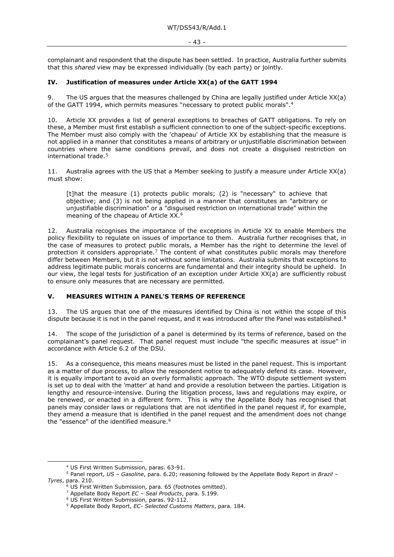complainant and respondent that the dispute has been settled. In practice, Australia further submits that this *shared* view may be expressed individually (by each party) or jointly.

#### **IV. Justification of measures under Article XX(a) of the GATT 1994**

9. The US argues that the measures challenged by China are legally justified under Article XX(a) of the GATT 1994, which permits measures "necessary to protect public morals".[4](#page-42-0)

10. Article XX provides a list of general exceptions to breaches of GATT obligations. To rely on these, a Member must first establish a sufficient connection to one of the subject-specific exceptions. The Member must also comply with the 'chapeau' of Article XX by establishing that the measure is not applied in a manner that constitutes a means of arbitrary or unjustifiable discrimination between countries where the same conditions prevail, and does not create a disguised restriction on international trade.[5](#page-42-1)

11. Australia agrees with the US that a Member seeking to justify a measure under Article XX(a) must show:

[t]hat the measure (1) protects public morals; (2) is "necessary" to achieve that objective; and (3) is not being applied in a manner that constitutes an "arbitrary or unjustifiable discrimination" or a "disguised restriction on international trade" within the meaning of the chapeau of Article XX.<sup>[6](#page-42-2)</sup>

12. Australia recognises the importance of the exceptions in Article XX to enable Members the policy flexibility to regulate on issues of importance to them. Australia further recognises that, in the case of measures to protect public morals, a Member has the right to determine the level of protection it considers appropriate.<sup>[7](#page-42-3)</sup> The content of what constitutes public morals may therefore differ between Members, but it is not without some limitations. Australia submits that exceptions to address legitimate public morals concerns are fundamental and their integrity should be upheld. In our view, the legal tests for justification of an exception under Article XX(a) are sufficiently robust to ensure only measures that are necessary are permitted.

# **V. MEASURES WITHIN A PANEL'S TERMS OF REFERENCE**

13. The US argues that one of the measures identified by China is not within the scope of this dispute because it is not in the panel request, and it was introduced after the Panel was established.<sup>8</sup>

14. The scope of the jurisdiction of a panel is determined by its terms of reference, based on the complainant's panel request. That panel request must include "the specific measures at issue" in accordance with Article 6.2 of the DSU.

15. As a consequence, this means measures must be listed in the panel request. This is important as a matter of due process, to allow the respondent notice to adequately defend its case. However, it is equally important to avoid an overly formalistic approach. The WTO dispute settlement system is set up to deal with the 'matter' at hand and provide a resolution between the parties. Litigation is lengthy and resource-intensive. During the litigation process, laws and regulations may expire, or be renewed, or enacted in a different form. This is why the Appellate Body has recognised that panels may consider laws or regulations that are not identified in the panel request if, for example, they amend a measure that is identified in the panel request and the amendment does not change the "essence" of the identified measure.<sup>9</sup>

<sup>4</sup> US First Written Submission, paras. 63-91.

<span id="page-42-5"></span><span id="page-42-4"></span><span id="page-42-3"></span><span id="page-42-2"></span><span id="page-42-1"></span><span id="page-42-0"></span><sup>5</sup> Panel report, *US – Gasoline*, para. 6.20; reasoning followed by the Appellate Body Report in *Brazil – Tyres*, para. 210.

 $\frac{1}{6}$  US First Written Submission, para. 65 (footnotes omitted).

<sup>7</sup> Appellate Body Report *EC – Seal Products*, para. 5.199.

<sup>&</sup>lt;sup>8</sup> US First Written Submission, paras. 92-112.

<sup>9</sup> Appellate Body Report, *EC- Selected Customs Matters*, para. 184.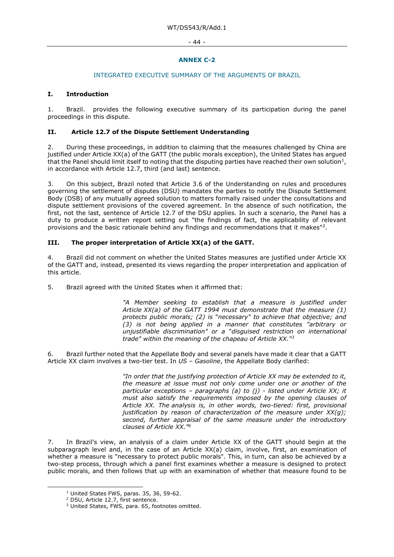#### - 44 -

# **ANNEX C-2**

#### INTEGRATED EXECUTIVE SUMMARY OF THE ARGUMENTS OF BRAZIL

# **I. Introduction**

1. Brazil. provides the following executive summary of its participation during the panel proceedings in this dispute.

# **II. Article 12.7 of the Dispute Settlement Understanding**

2. During these proceedings, in addition to claiming that the measures challenged by China are justified under Article XX(a) of the GATT (the public morals exception), the United States has argued that the Panel should limit itself to noting that the disputing parties have reached their own solution<sup>[1](#page-43-0)</sup>, in accordance with Article 12.7, third (and last) sentence.

3. On this subject, Brazil noted that Article 3.6 of the Understanding on rules and procedures governing the settlement of disputes (DSU) mandates the parties to notify the Dispute Settlement Body (DSB) of any mutually agreed solution to matters formally raised under the consultations and dispute settlement provisions of the covered agreement. In the absence of such notification, the first, not the last, sentence of Article 12.7 of the DSU applies. In such a scenario, the Panel has a duty to produce a written report setting out "the findings of fact, the applicability of relevant provisions and the basic rationale behind any findings and recommendations that it makes"[2](#page-43-1).

# **III. The proper interpretation of Article XX(a) of the GATT.**

4. Brazil did not comment on whether the United States measures are justified under Article XX of the GATT and, instead, presented its views regarding the proper interpretation and application of this article.

5. Brazil agreed with the United States when it affirmed that:

*"A Member seeking to establish that a measure is justified under Article XX(a) of the GATT 1994 must demonstrate that the measure (1) protects public morals; (2) is* "*necessary" to achieve that objective; and (3) is not being applied in a manner that constitutes "arbitrary or unjustifiable discrimination" or a* "*disguised restriction on international trade" within the meaning of the chapeau of Article XX."[3](#page-43-2)*

6. Brazil further noted that the Appellate Body and several panels have made it clear that a GATT Article XX claim involves a two-tier test. In *US – Gasoline*, the Appellate Body clarified:

> *"In order that the justifying protection of Article XX may be extended to it, the measure at issue must not only come under one or another of the particular exceptions – paragraphs (a) to (j) - listed under Article XX; it must also satisfy the requirements imposed by the opening clauses of Article XX. The analysis is, in other words, two-tiered: first, provisional justification by reason of characterization of the measure under XX(g); second, further appraisal of the same measure under the introductory clauses of Article XX."6*

7. In Brazil's view, an analysis of a claim under Article XX of the GATT should begin at the subparagraph level and, in the case of an Article XX(a) claim, involve, first, an examination of whether a measure is "necessary to protect public morals". This, in turn, can also be achieved by a two-step process, through which a panel first examines whether a measure is designed to protect public morals, and then follows that up with an examination of whether that measure found to be

<sup>&</sup>lt;sup>1</sup> United States FWS, paras. 35, 36, 59-62.

<span id="page-43-2"></span><span id="page-43-1"></span><span id="page-43-0"></span><sup>2</sup> DSU, Article 12.7, first sentence.

<sup>3</sup> United States, FWS, para. 65, footnotes omitted.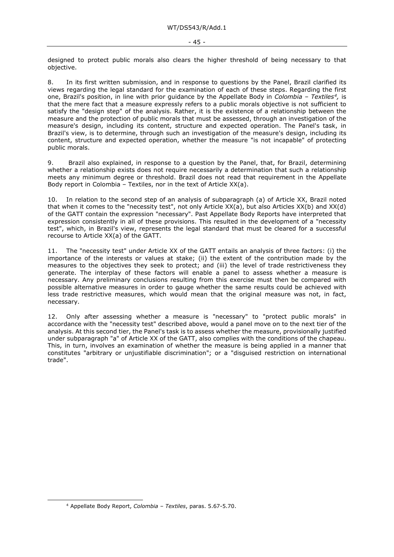designed to protect public morals also clears the higher threshold of being necessary to that objective.

8. In its first written submission, and in response to questions by the Panel, Brazil clarified its views regarding the legal standard for the examination of each of these steps. Regarding the first one, Brazil's position, in line with prior guidance by the Appellate Body in *Colombia – Textiles[4](#page-44-0),* is that the mere fact that a measure expressly refers to a public morals objective is not sufficient to satisfy the "design step" of the analysis. Rather, it is the existence of a relationship between the measure and the protection of public morals that must be assessed, through an investigation of the measure's design, including its content, structure and expected operation. The Panel's task, in Brazil's view, is to determine, through such an investigation of the measure's design, including its content, structure and expected operation, whether the measure "is not incapable" of protecting public morals.

9. Brazil also explained, in response to a question by the Panel, that, for Brazil, determining whether a relationship exists does not require necessarily a determination that such a relationship meets any minimum degree or threshold. Brazil does not read that requirement in the Appellate Body report in Colombia – Textiles, nor in the text of Article XX(a).

10. In relation to the second step of an analysis of subparagraph (a) of Article XX, Brazil noted that when it comes to the "necessity test", not only Article XX(a), but also Articles XX(b) and XX(d) of the GATT contain the expression "necessary". Past Appellate Body Reports have interpreted that expression consistently in all of these provisions. This resulted in the development of a "necessity test", which, in Brazil's view, represents the legal standard that must be cleared for a successful recourse to Article XX(a) of the GATT.

11. The "necessity test" under Article XX of the GATT entails an analysis of three factors: (i) the importance of the interests or values at stake; (ii) the extent of the contribution made by the measures to the objectives they seek to protect; and (iii) the level of trade restrictiveness they generate. The interplay of these factors will enable a panel to assess whether a measure is necessary. Any preliminary conclusions resulting from this exercise must then be compared with possible alternative measures in order to gauge whether the same results could be achieved with less trade restrictive measures, which would mean that the original measure was not, in fact, necessary.

12. Only after assessing whether a measure is "necessary" to "protect public morals" in accordance with the "necessity test" described above, would a panel move on to the next tier of the analysis. At this second tier, the Panel's task is to assess whether the measure, provisionally justified under subparagraph "a" of Article XX of the GATT, also complies with the conditions of the chapeau. This, in turn, involves an examination of whether the measure is being applied in a manner that constitutes "arbitrary or unjustifiable discrimination"; or a "disguised restriction on international trade".

<span id="page-44-0"></span><sup>4</sup> Appellate Body Report, *Colombia – Textiles*, paras. 5.67-5.70.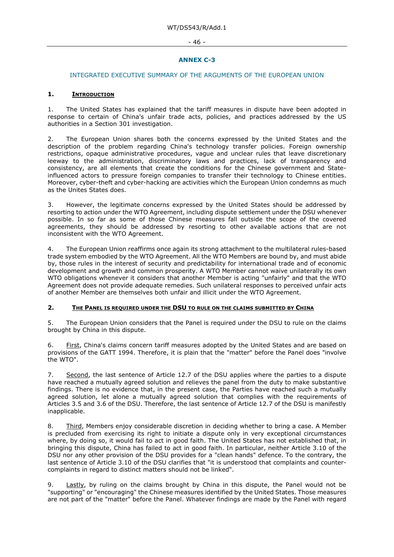#### - 46 -

# **ANNEX C-3**

#### INTEGRATED EXECUTIVE SUMMARY OF THE ARGUMENTS OF THE EUROPEAN UNION

#### **1. INTRODUCTION**

1. The United States has explained that the tariff measures in dispute have been adopted in response to certain of China's unfair trade acts, policies, and practices addressed by the US authorities in a Section 301 investigation.

2. The European Union shares both the concerns expressed by the United States and the description of the problem regarding China's technology transfer policies. Foreign ownership restrictions, opaque administrative procedures, vague and unclear rules that leave discretionary leeway to the administration, discriminatory laws and practices, lack of transparency and consistency, are all elements that create the conditions for the Chinese government and Stateinfluenced actors to pressure foreign companies to transfer their technology to Chinese entities. Moreover, cyber-theft and cyber-hacking are activities which the European Union condemns as much as the Unites States does.

3. However, the legitimate concerns expressed by the United States should be addressed by resorting to action under the WTO Agreement, including dispute settlement under the DSU whenever possible. In so far as some of those Chinese measures fall outside the scope of the covered agreements, they should be addressed by resorting to other available actions that are not inconsistent with the WTO Agreement.

4. The European Union reaffirms once again its strong attachment to the multilateral rules-based trade system embodied by the WTO Agreement. All the WTO Members are bound by, and must abide by, those rules in the interest of security and predictability for international trade and of economic development and growth and common prosperity. A WTO Member cannot waive unilaterally its own WTO obligations whenever it considers that another Member is acting "unfairly" and that the WTO Agreement does not provide adequate remedies. Such unilateral responses to perceived unfair acts of another Member are themselves both unfair and illicit under the WTO Agreement.

#### **2. THE PANEL IS REQUIRED UNDER THE DSU TO RULE ON THE CLAIMS SUBMITTED BY CHINA**

5. The European Union considers that the Panel is required under the DSU to rule on the claims brought by China in this dispute.

6. First, China's claims concern tariff measures adopted by the United States and are based on provisions of the GATT 1994. Therefore, it is plain that the "matter" before the Panel does "involve the WTO".

7. Second, the last sentence of Article 12.7 of the DSU applies where the parties to a dispute have reached a mutually agreed solution and relieves the panel from the duty to make substantive findings. There is no evidence that, in the present case, the Parties have reached such a mutually agreed solution, let alone a mutually agreed solution that complies with the requirements of Articles 3.5 and 3.6 of the DSU. Therefore, the last sentence of Article 12.7 of the DSU is manifestly inapplicable.

8. Third, Members enjoy considerable discretion in deciding whether to bring a case. A Member is precluded from exercising its right to initiate a dispute only in very exceptional circumstances where, by doing so, it would fail to act in good faith. The United States has not established that, in bringing this dispute, China has failed to act in good faith. In particular, neither Article 3.10 of the DSU nor any other provision of the DSU provides for a "clean hands" defence. To the contrary, the last sentence of Article 3.10 of the DSU clarifies that "it is understood that complaints and countercomplaints in regard to distinct matters should not be linked".

9. Lastly, by ruling on the claims brought by China in this dispute, the Panel would not be "supporting" or "encouraging" the Chinese measures identified by the United States. Those measures are not part of the "matter" before the Panel. Whatever findings are made by the Panel with regard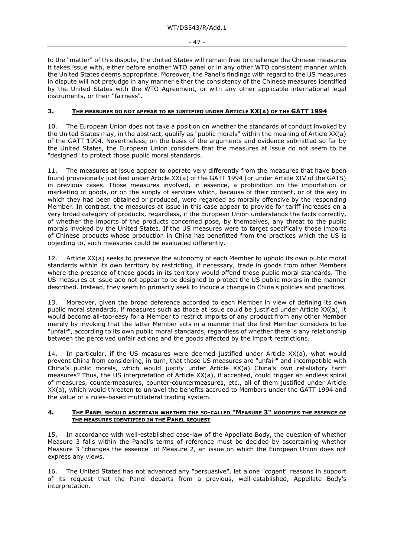- 47 -

to the "matter" of this dispute, the United States will remain free to challenge the Chinese measures it takes issue with, either before another WTO panel or in any other WTO consistent manner which the United States deems appropriate. Moreover, the Panel's findings with regard to the US measures in dispute will not prejudge in any manner either the consistency of the Chinese measures identified by the United States with the WTO Agreement, or with any other applicable international legal instruments, or their "fairness".

# **3. THE MEASURES DO NOT APPEAR TO BE JUSTIFIED UNDER ARTICLE XX(A) OF THE GATT 1994**

10. The European Union does not take a position on whether the standards of conduct invoked by the United States may, in the abstract, qualify as "public morals" within the meaning of Article XX(a) of the GATT 1994. Nevertheless, on the basis of the arguments and evidence submitted so far by the United States, the European Union considers that the measures at issue do not seem to be "designed" to protect those public moral standards.

11. The measures at issue appear to operate very differently from the measures that have been found provisionally justified under Article XX(a) of the GATT 1994 (or under Article XIV of the GATS) in previous cases. Those measures involved, in essence, a prohibition on the importation or marketing of goods, or on the supply of services which, because of their content, or of the way in which they had been obtained or produced, were regarded as morally offensive by the responding Member. In contrast, the measures at issue in this case appear to provide for tariff increases on a very broad category of products, regardless, if the European Union understands the facts correctly, of whether the imports of the products concerned pose, by themselves, any threat to the public morals invoked by the United States. If the US measures were to target specifically those imports of Chinese products whose production in China has benefitted from the practices which the US is objecting to, such measures could be evaluated differently.

12. Article XX(a) seeks to preserve the autonomy of each Member to uphold its own public moral standards within its own territory by restricting, if necessary, trade in goods from other Members where the presence of those goods in its territory would offend those public moral standards. The US measures at issue ado not appear to be designed to protect the US public morals in the manner described. Instead, they seem to primarily seek to induce a change in China's policies and practices.

13. Moreover, given the broad deference accorded to each Member in view of defining its own public moral standards, if measures such as those at issue could be justified under Article XX(a), it would become all-too-easy for a Member to restrict imports of any product from any other Member merely by invoking that the latter Member acts in a manner that the first Member considers to be "unfair", according to its own public moral standards, regardless of whether there is any relationship between the perceived unfair actions and the goods affected by the import restrictions.

14. In particular, if the US measures were deemed justified under Article XX(a), what would prevent China from considering, in turn, that those US measures are "unfair" and incompatible with China's public morals, which would justify under Article XX(a) China's own retaliatory tariff measures? Thus, the US interpretation of Article XX(a), if accepted, could trigger an endless spiral of measures, countermeasures, counter-countermeasures, etc., all of them justified under Article XX(a), which would threaten to unravel the benefits accrued to Members under the GATT 1994 and the value of a rules-based multilateral trading system.

#### **4. THE PANEL SHOULD ASCERTAIN WHETHER THE SO-CALLED "MEASURE 3" MODIFIES THE ESSENCE OF THE MEASURES IDENTIFIED IN THE PANEL REQUEST**

15. In accordance with well-established case-law of the Appellate Body, the question of whether Measure 3 falls within the Panel's terms of reference must be decided by ascertaining whether Measure 3 "changes the essence" of Measure 2, an issue on which the European Union does not express any views.

16. The United States has not advanced any "persuasive", let alone "cogent" reasons in support of its request that the Panel departs from a previous, well-established, Appellate Body's interpretation.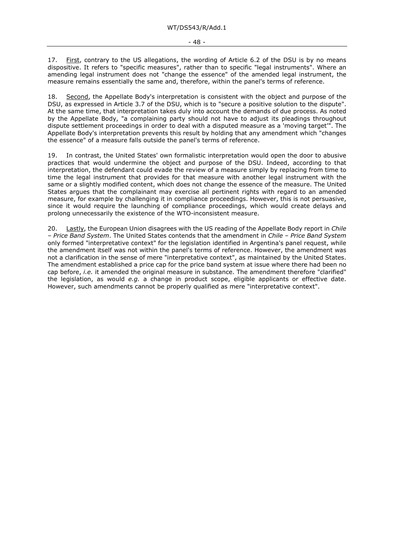17. First, contrary to the US allegations, the wording of Article 6.2 of the DSU is by no means dispositive. It refers to "specific measures", rather than to specific "legal instruments". Where an amending legal instrument does not "change the essence" of the amended legal instrument, the measure remains essentially the same and, therefore, within the panel's terms of reference.

18. Second, the Appellate Body's interpretation is consistent with the object and purpose of the DSU, as expressed in Article 3.7 of the DSU, which is to "secure a positive solution to the dispute". At the same time, that interpretation takes duly into account the demands of due process. As noted by the Appellate Body, "a complaining party should not have to adjust its pleadings throughout dispute settlement proceedings in order to deal with a disputed measure as a 'moving target'". The Appellate Body's interpretation prevents this result by holding that any amendment which "changes the essence" of a measure falls outside the panel's terms of reference.

19. In contrast, the United States' own formalistic interpretation would open the door to abusive practices that would undermine the object and purpose of the DSU. Indeed, according to that interpretation, the defendant could evade the review of a measure simply by replacing from time to time the legal instrument that provides for that measure with another legal instrument with the same or a slightly modified content, which does not change the essence of the measure. The United States argues that the complainant may exercise all pertinent rights with regard to an amended measure, for example by challenging it in compliance proceedings. However, this is not persuasive, since it would require the launching of compliance proceedings, which would create delays and prolong unnecessarily the existence of the WTO-inconsistent measure.

20. Lastly, the European Union disagrees with the US reading of the Appellate Body report in *Chile – Price Band System*. The United States contends that the amendment in *Chile – Price Band System* only formed "interpretative context" for the legislation identified in Argentina's panel request, while the amendment itself was not within the panel's terms of reference. However, the amendment was not a clarification in the sense of mere "interpretative context", as maintained by the United States. The amendment established a price cap for the price band system at issue where there had been no cap before, *i.e.* it amended the original measure in substance. The amendment therefore "clarified" the legislation, as would *e.g.* a change in product scope, eligible applicants or effective date. However, such amendments cannot be properly qualified as mere "interpretative context".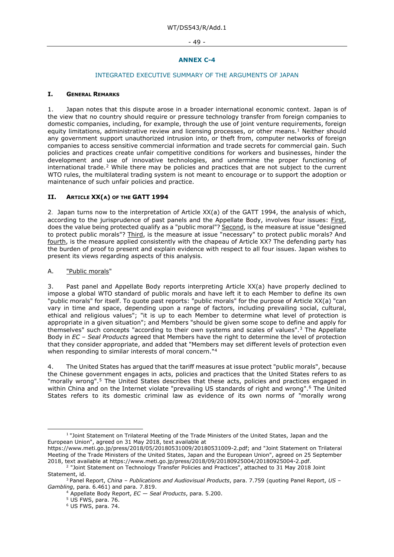#### - 49 -

# **ANNEX C-4**

# INTEGRATED EXECUTIVE SUMMARY OF THE ARGUMENTS OF JAPAN

#### **I. GENERAL REMARKS**

1. Japan notes that this dispute arose in a broader international economic context. Japan is of the view that no country should require or pressure technology transfer from foreign companies to domestic companies, including, for example, through the use of joint venture requirements, foreign equity limitations, administrative review and licensing processes, or other means.<sup>[1](#page-48-0)</sup> Neither should any government support unauthorized intrusion into, or theft from, computer networks of foreign companies to access sensitive commercial information and trade secrets for commercial gain. Such policies and practices create unfair competitive conditions for workers and businesses, hinder the development and use of innovative technologies, and undermine the proper functioning of international trade.[2](#page-48-1) While there may be policies and practices that are not subject to the current WTO rules, the multilateral trading system is not meant to encourage or to support the adoption or maintenance of such unfair policies and practice.

# **II. ARTICLE XX(A) OF THE GATT 1994**

2.Japan turns now to the interpretation of Article XX(a) of the GATT 1994, the analysis of which, according to the jurisprudence of past panels and the Appellate Body, involves four issues: First, does the value being protected qualify as a "public moral"? Second, is the measure at issue "designed to protect public morals"? Third, is the measure at issue "necessary" to protect public morals? And fourth, is the measure applied consistently with the chapeau of Article XX? The defending party has the burden of proof to present and explain evidence with respect to all four issues. Japan wishes to present its views regarding aspects of this analysis.

# A. "Public morals"

3. Past panel and Appellate Body reports interpreting Article XX(a) have properly declined to impose a global WTO standard of public morals and have left it to each Member to define its own "public morals" for itself. To quote past reports: "public morals" for the purpose of Article XX(a) "can vary in time and space, depending upon a range of factors, including prevailing social, cultural, ethical and religious values"; "it is up to each Member to determine what level of protection is appropriate in a given situation"; and Members "should be given some scope to define and apply for themselves" such concepts "according to their own systems and scales of values".[3](#page-48-2) The Appellate Body in *EC – Seal Products* agreed that Members have the right to determine the level of protection that they consider appropriate, and added that "Members may set different levels of protection even when responding to similar interests of moral concern."<sup>[4](#page-48-3)</sup>

4. The United States has argued that the tariff measures at issue protect "public morals", because the Chinese government engages in acts, policies and practices that the United States refers to as "morally wrong".[5](#page-48-4) The United States describes that these acts, policies and practices engaged in within China and on the Internet violate "prevailing US standards of right and wrong".<sup>[6](#page-48-5)</sup> The United States refers to its domestic criminal law as evidence of its own norms of "morally wrong

<span id="page-48-0"></span><sup>&</sup>lt;sup>1</sup> "Joint Statement on Trilateral Meeting of the Trade Ministers of the United States, Japan and the European Union", agreed on 31 May 2018, text available at

https://www.meti.go.jp/press/2018/05/20180531009/20180531009-2.pdf; and "Joint Statement on Trilateral Meeting of the Trade Ministers of the United States, Japan and the European Union", agreed on 25 September 2018, text available at https://www.meti.go.jp/press/2018/09/20180925004/20180925004-2.pdf. 2 "Joint Statement on Technology Transfer Policies and Practices", attached to 31 May 2018 Joint

<span id="page-48-1"></span>Statement, id.

<span id="page-48-6"></span><span id="page-48-5"></span><span id="page-48-4"></span><span id="page-48-3"></span><span id="page-48-2"></span><sup>3</sup> Panel Report, *China – Publications and Audiovisual Products*, para. 7.759 (quoting Panel Report, *US – Gambling*, para. 6.461) and para. 7.819.

<sup>4</sup> Appellate Body Report, *EC — Seal Products*, para. 5.200.

<sup>5</sup> US FWS, para. 76.

<sup>6</sup> US FWS, para. 74.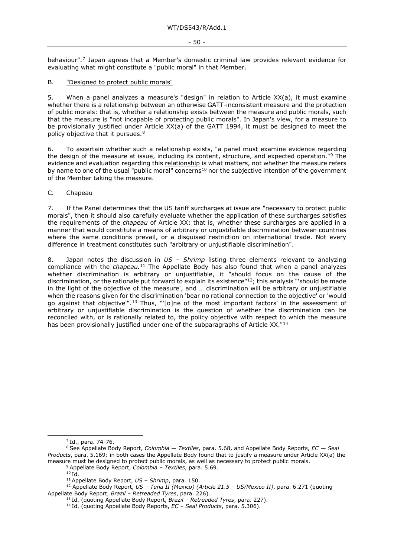#### - 50 -

behaviour".[7](#page-48-6) Japan agrees that a Member's domestic criminal law provides relevant evidence for evaluating what might constitute a "public moral" in that Member.

#### B. **"Designed to protect public morals"**

5. When a panel analyzes a measure's "design" in relation to Article XX(a), it must examine whether there is a relationship between an otherwise GATT-inconsistent measure and the protection of public morals: that is, whether a relationship exists between the measure and public morals, such that the measure is "not incapable of protecting public morals". In Japan's view, for a measure to be provisionally justified under Article XX(a) of the GATT 1994, it must be designed to meet the policy objective that it pursues.[8](#page-49-0)

6. To ascertain whether such a relationship exists, "a panel must examine evidence regarding the design of the measure at issue, including its content, structure, and expected operation.["9](#page-49-1) The evidence and evaluation regarding this relationship is what matters, not whether the measure refers by name to one of the usual "public moral" concerns<sup>[10](#page-49-2)</sup> nor the subjective intention of the government of the Member taking the measure.

#### C. Chapeau

7. If the Panel determines that the US tariff surcharges at issue are "necessary to protect public morals", then it should also carefully evaluate whether the application of these surcharges satisfies the requirements of the *chapeau* of Article XX: that is, whether these surcharges are applied in a manner that would constitute a means of arbitrary or unjustifiable discrimination between countries where the same conditions prevail, or a disguised restriction on international trade. Not every difference in treatment constitutes such "arbitrary or unjustifiable discrimination".

8. Japan notes the discussion in *US – Shrimp* listing three elements relevant to analyzing compliance with the *chapeau.*[11](#page-49-3) The Appellate Body has also found that when a panel analyzes whether discrimination is arbitrary or unjustifiable, it "should focus on the cause of the discrimination, or the rationale put forward to explain its existence"<sup>12</sup>; this analysis "'should be made in the light of the objective of the measure', and … discrimination will be arbitrary or unjustifiable when the reasons given for the discrimination 'bear no rational connection to the objective' or 'would go against that objective'".[13](#page-49-5) Thus, "'[o]ne of the most important factors' in the assessment of arbitrary or unjustifiable discrimination is the question of whether the discrimination can be reconciled with, or is rationally related to, the policy objective with respect to which the measure has been provisionally justified under one of the subparagraphs of Article XX."<sup>[14](#page-49-6)</sup>

 $7$  Id., para. 74-76.

<span id="page-49-1"></span><span id="page-49-0"></span><sup>8</sup> See Appellate Body Report, *Colombia — Textiles*, para. 5.68, and Appellate Body Reports, *EC — Seal Products*, para. 5.169: in both cases the Appellate Body found that to justify a measure under Article XX(a) the measure must be designed to protect public morals, as well as necessary to protect public morals.

<sup>9</sup> Appellate Body Report, *Colombia – Textiles*, para. 5.69.

 $10$  Id.

<sup>11</sup> Appellate Body Report, *US – Shrimp*, para. 150.

<span id="page-49-6"></span><span id="page-49-5"></span><span id="page-49-4"></span><span id="page-49-3"></span><span id="page-49-2"></span><sup>12</sup> Appellate Body Report, *US – Tuna II (Mexico) (Article 21.5 – US/Mexico II)*, para. 6.271 (quoting Appellate Body Report, *Brazil – Retreaded Tyres*, para. 226).

<sup>13</sup> Id. (quoting Appellate Body Report, *Brazil – Retreaded Tyres*, para. 227).

<sup>14</sup> Id. (quoting Appellate Body Reports, *EC – Seal Products*, para. 5.306).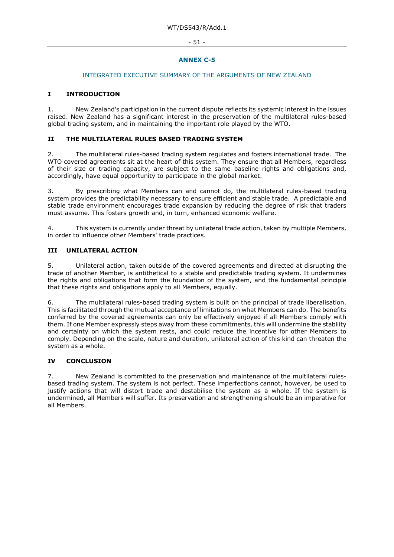#### - 51 -

# **ANNEX C-5**

#### INTEGRATED EXECUTIVE SUMMARY OF THE ARGUMENTS OF NEW ZEALAND

### **I INTRODUCTION**

1. New Zealand's participation in the current dispute reflects its systemic interest in the issues raised. New Zealand has a significant interest in the preservation of the multilateral rules-based global trading system, and in maintaining the important role played by the WTO.

#### **II THE MULTILATERAL RULES BASED TRADING SYSTEM**

2. The multilateral rules-based trading system regulates and fosters international trade. The WTO covered agreements sit at the heart of this system. They ensure that all Members, regardless of their size or trading capacity, are subject to the same baseline rights and obligations and, accordingly, have equal opportunity to participate in the global market.

3. By prescribing what Members can and cannot do, the multilateral rules-based trading system provides the predictability necessary to ensure efficient and stable trade. A predictable and stable trade environment encourages trade expansion by reducing the degree of risk that traders must assume. This fosters growth and, in turn, enhanced economic welfare.

4. This system is currently under threat by unilateral trade action, taken by multiple Members, in order to influence other Members' trade practices.

# **III UNILATERAL ACTION**

5. Unilateral action, taken outside of the covered agreements and directed at disrupting the trade of another Member, is antithetical to a stable and predictable trading system. It undermines the rights and obligations that form the foundation of the system, and the fundamental principle that these rights and obligations apply to all Members, equally.

6. The multilateral rules-based trading system is built on the principal of trade liberalisation. This is facilitated through the mutual acceptance of limitations on what Members can do. The benefits conferred by the covered agreements can only be effectively enjoyed if all Members comply with them. If one Member expressly steps away from these commitments, this will undermine the stability and certainty on which the system rests, and could reduce the incentive for other Members to comply. Depending on the scale, nature and duration, unilateral action of this kind can threaten the system as a whole.

# **IV CONCLUSION**

7. New Zealand is committed to the preservation and maintenance of the multilateral rulesbased trading system. The system is not perfect. These imperfections cannot, however, be used to justify actions that will distort trade and destabilise the system as a whole. If the system is undermined, all Members will suffer. Its preservation and strengthening should be an imperative for all Members.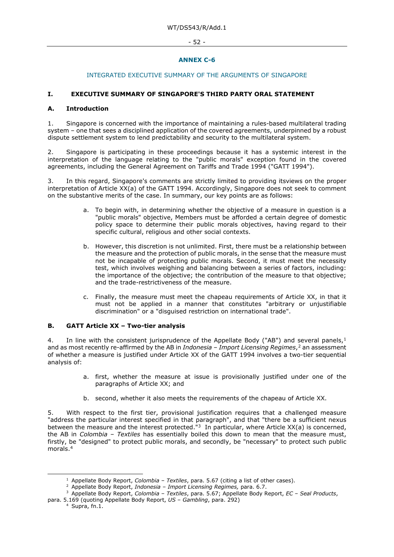#### - 52 -

# **ANNEX C-6**

# INTEGRATED EXECUTIVE SUMMARY OF THE ARGUMENTS OF SINGAPORE

# **I. EXECUTIVE SUMMARY OF SINGAPORE'S THIRD PARTY ORAL STATEMENT**

#### **A. Introduction**

1. Singapore is concerned with the importance of maintaining a rules-based multilateral trading system – one that sees a disciplined application of the covered agreements, underpinned by a robust dispute settlement system to lend predictability and security to the multilateral system.

2. Singapore is participating in these proceedings because it has a systemic interest in the interpretation of the language relating to the "public morals" exception found in the covered agreements, including the General Agreement on Tariffs and Trade 1994 ("GATT 1994").

3. In this regard, Singapore's comments are strictly limited to providing itsviews on the proper interpretation of Article XX(a) of the GATT 1994. Accordingly, Singapore does not seek to comment on the substantive merits of the case. In summary, our key points are as follows:

- a. To begin with, in determining whether the objective of a measure in question is a "public morals" objective, Members must be afforded a certain degree of domestic policy space to determine their public morals objectives, having regard to their specific cultural, religious and other social contexts.
- b. However, this discretion is not unlimited. First, there must be a relationship between the measure and the protection of public morals, in the sense that the measure must not be incapable of protecting public morals. Second, it must meet the necessity test, which involves weighing and balancing between a series of factors, including: the importance of the objective; the contribution of the measure to that objective; and the trade-restrictiveness of the measure.
- c. Finally, the measure must meet the chapeau requirements of Article XX, in that it must not be applied in a manner that constitutes "arbitrary or unjustifiable discrimination" or a "disguised restriction on international trade".

#### **B. GATT Article XX – Two-tier analysis**

4. In line with the consistent jurisprudence of the Appellate Body ("AB") and several panels, $<sup>1</sup>$ </sup> and as most recently re-affirmed by the AB in *Indonesia – Import Licensing Regimes*,[2](#page-51-1) an assessment of whether a measure is justified under Article XX of the GATT 1994 involves a two-tier sequential analysis of:

- a. first, whether the measure at issue is provisionally justified under one of the paragraphs of Article XX; and
- b. second, whether it also meets the requirements of the chapeau of Article XX.

5. With respect to the first tier, provisional justification requires that a challenged measure "address the particular interest specified in that paragraph", and that "there be a sufficient nexus between the measure and the interest protected.<sup>"[3](#page-51-2)</sup> In particular, where Article XX(a) is concerned, the AB in *Colombia – Textiles* has essentially boiled this down to mean that the measure must, firstly, be "designed" to protect public morals, and secondly, be "necessary" to protect such public morals.<sup>[4](#page-51-3)</sup>

<sup>&</sup>lt;sup>1</sup> Appellate Body Report, *Colombia - Textiles*, para. 5.67 (citing a list of other cases).

<sup>2</sup> Appellate Body Report, *Indonesia – Import Licensing Regimes,* para. 6.7.

<span id="page-51-3"></span><span id="page-51-2"></span><span id="page-51-1"></span><span id="page-51-0"></span><sup>3</sup> Appellate Body Report, *Colombia – Textiles*, para. 5.67; Appellate Body Report, *EC – Seal Products*, para. 5.169 (quoting Appellate Body Report, *US – Gambling*, para. 292)

<sup>4</sup> Supra, fn.1.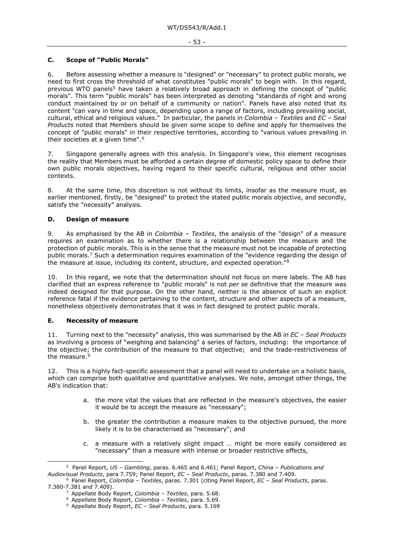# **C. Scope of "Public Morals"**

6. Before assessing whether a measure is "designed" or "necessary" to protect public morals, we need to first cross the threshold of what constitutes "public morals" to begin with. In this regard, previous WTO panels[5](#page-52-0) have taken a relatively broad approach in defining the concept of "public morals". This term "public morals" has been interpreted as denoting "standards of right and wrong conduct maintained by or on behalf of a community or nation". Panels have also noted that its content "can vary in time and space, depending upon a range of factors, including prevailing social, cultural, ethical and religious values." In particular, the panels in *Colombia – Textiles* and *EC – Seal Products* noted that Members should be given some scope to define and apply for themselves the concept of "public morals" in their respective territories, according to "various values prevailing in their societies at a given time".<sup>[6](#page-52-1)</sup>

7. Singapore generally agrees with this analysis. In Singapore's view, this element recognises the reality that Members must be afforded a certain degree of domestic policy space to define their own public morals objectives, having regard to their specific cultural, religious and other social contexts.

8. At the same time, this discretion is not without its limits, insofar as the measure must, as earlier mentioned, firstly, be "designed" to protect the stated public morals objective, and secondly, satisfy the "necessity" analysis.

# **D. Design of measure**

9. As emphasised by the AB in *Colombia – Textiles*, the analysis of the "design" of a measure requires an examination as to whether there is a relationship between the measure and the protection of public morals. This is in the sense that the measure must not be incapable of protecting public morals.[7](#page-52-2) Such a determination requires examination of the "evidence regarding the design of the measure at issue, including its content, structure, and expected operation.["8](#page-52-3)

10. In this regard, we note that the determination should not focus on mere labels. The AB has clarified that an express reference to "public morals" is not *per se* definitive that the measure was indeed designed for that purpose. On the other hand, neither is the absence of such an explicit reference fatal if the evidence pertaining to the content, structure and other aspects of a measure, nonetheless objectively demonstrates that it was in fact designed to protect public morals.

#### **E. Necessity of measure**

11. Turning next to the "necessity" analysis, this was summarised by the AB in *EC – Seal Products* as involving a process of "weighing and balancing" a series of factors, including: the importance of the objective; the contribution of the measure to that objective; and the trade-restrictiveness of the measure.<sup>[9](#page-52-4)</sup>

This is a highly fact-specific assessment that a panel will need to undertake on a holistic basis, which can comprise both qualitative and quantitative analyses. We note, amongst other things, the AB's indication that:

- a. the more vital the values that are reflected in the measure's objectives, the easier it would be to accept the measure as "necessary";
- b. the greater the contribution a measure makes to the objective pursued, the more likely it is to be characterised as "necessary"; and
- c. a measure with a relatively slight impact … might be more easily considered as "necessary" than a measure with intense or broader restrictive effects,

<span id="page-52-0"></span><sup>5</sup> Panel Report, *US – Gambling*, paras. 6.465 and 6.461; Panel Report, *China – Publications and Audiovisual Products*, para 7.759; Panel Report, *EC – Seal Products*, paras. 7.380 and 7.409.

<span id="page-52-4"></span><span id="page-52-3"></span><span id="page-52-2"></span><span id="page-52-1"></span><sup>6</sup> Panel Report, *Colombia – Textiles*, paras. 7.301 (citing Panel Report, *EC – Seal Products*, paras. 7.380-7.381 and 7.409).

<sup>7</sup> Appellate Body Report, *Colombia – Textiles*, para. 5.68.

<sup>8</sup> Appellate Body Report, *Colombia – Textiles*, para. 5.69.

<sup>9</sup> Appellate Body Report, *EC – Seal Products*, para. 5.169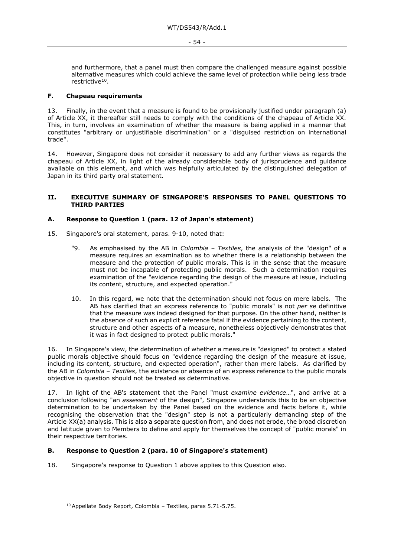and furthermore, that a panel must then compare the challenged measure against possible alternative measures which could achieve the same level of protection while being less trade restrictive<sup>[10](#page-53-0)</sup>.

### **F. Chapeau requirements**

13. Finally, in the event that a measure is found to be provisionally justified under paragraph (a) of Article XX, it thereafter still needs to comply with the conditions of the chapeau of Article XX. This, in turn, involves an examination of whether the measure is being applied in a manner that constitutes "arbitrary or unjustifiable discrimination" or a "disguised restriction on international trade".

14. However, Singapore does not consider it necessary to add any further views as regards the chapeau of Article XX, in light of the already considerable body of jurisprudence and guidance available on this element, and which was helpfully articulated by the distinguished delegation of Japan in its third party oral statement.

#### **II. EXECUTIVE SUMMARY OF SINGAPORE'S RESPONSES TO PANEL QUESTIONS TO THIRD PARTIES**

#### **A. Response to Question 1 (para. 12 of Japan's statement)**

- 15. Singapore's oral statement, paras. 9-10, noted that:
	- "9. As emphasised by the AB in *Colombia – Textiles*, the analysis of the "design" of a measure requires an examination as to whether there is a relationship between the measure and the protection of public morals. This is in the sense that the measure must not be incapable of protecting public morals. Such a determination requires examination of the "evidence regarding the design of the measure at issue, including its content, structure, and expected operation."
	- 10. In this regard, we note that the determination should not focus on mere labels. The AB has clarified that an express reference to "public morals" is not *per se* definitive that the measure was indeed designed for that purpose. On the other hand, neither is the absence of such an explicit reference fatal if the evidence pertaining to the content, structure and other aspects of a measure, nonetheless objectively demonstrates that it was in fact designed to protect public morals."

16. In Singapore's view, the determination of whether a measure is "designed" to protect a stated public morals objective should focus on "evidence regarding the design of the measure at issue, including its content, structure, and expected operation", rather than mere labels. As clarified by the AB in *Colombia – Textiles*, the existence or absence of an express reference to the public morals objective in question should not be treated as determinative.

17. In light of the AB's statement that the Panel "must *examine evidence*…", and arrive at a conclusion following "an *assessment* of the design", Singapore understands this to be an objective determination to be undertaken by the Panel based on the evidence and facts before it, while recognising the observation that the "design" step is not a particularly demanding step of the Article XX(a) analysis. This is also a separate question from, and does not erode, the broad discretion and latitude given to Members to define and apply for themselves the concept of "public morals" in their respective territories.

#### **B. Response to Question 2 (para. 10 of Singapore's statement)**

<span id="page-53-0"></span>18. Singapore's response to Question 1 above applies to this Question also.

<sup>10</sup> Appellate Body Report, Colombia – Textiles, paras 5.71-5.75.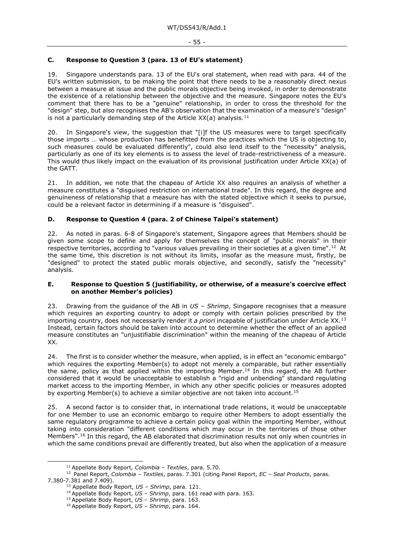# **C. Response to Question 3 (para. 13 of EU's statement)**

19. Singapore understands para. 13 of the EU's oral statement, when read with para. 44 of the EU's written submission, to be making the point that there needs to be a reasonably direct nexus between a measure at issue and the public morals objective being invoked, in order to demonstrate the existence of a relationship between the objective and the measure. Singapore notes the EU's comment that there has to be a "genuine" relationship, in order to cross the threshold for the "design" step, but also recognises the AB's observation that the examination of a measure's "design" is not a particularly demanding step of the Article XX(a) analysis.<sup>[11](#page-54-0)</sup>

20. In Singapore's view, the suggestion that "[i]f the US measures were to target specifically those imports … whose production has benefitted from the practices which the US is objecting to, such measures could be evaluated differently", could also lend itself to the "necessity" analysis, particularly as one of its key elements is to assess the level of trade-restrictiveness of a measure. This would thus likely impact on the evaluation of its provisional justification under Article XX(a) of the GATT.

21. In addition, we note that the chapeau of Article XX also requires an analysis of whether a measure constitutes a "disguised restriction on international trade". In this regard, the degree and genuineness of relationship that a measure has with the stated objective which it seeks to pursue, could be a relevant factor in determining if a measure is "disguised".

# **D. Response to Question 4 (para. 2 of Chinese Taipei's statement)**

22. As noted in paras. 6-8 of Singapore's statement, Singapore agrees that Members should be given some scope to define and apply for themselves the concept of "public morals" in their respective territories, according to "various values prevailing in their societies at a given time".<sup>12</sup> At the same time, this discretion is not without its limits, insofar as the measure must, firstly, be "designed" to protect the stated public morals objective, and secondly, satisfy the "necessity" analysis.

#### **E. Response to Question 5 (justifiability, or otherwise, of a measure's coercive effect on another Member's policies)**

23. Drawing from the guidance of the AB in *US – Shrimp*, Singapore recognises that a measure which requires an exporting country to adopt or comply with certain policies prescribed by the importing country, does not necessarily render it *a priori* incapable of justification under Article XX.[13](#page-54-2) Instead, certain factors should be taken into account to determine whether the effect of an applied measure constitutes an "unjustifiable discrimination" within the meaning of the chapeau of Article XX.

24. The first is to consider whether the measure, when applied, is in effect an "economic embargo" which requires the exporting Member(s) to adopt not merely a comparable, but rather essentially the same, policy as that applied within the importing Member.<sup>[14](#page-54-3)</sup> In this regard, the AB further considered that it would be unacceptable to establish a "rigid and unbending" standard regulating market access to the importing Member, in which any other specific policies or measures adopted by exporting Member(s) to achieve a similar objective are not taken into account.<sup>[15](#page-54-4)</sup>

25. A second factor is to consider that, in international trade relations, it would be unacceptable for one Member to use an economic embargo to require other Members to adopt essentially the same regulatory programme to achieve a certain policy goal within the importing Member, without taking into consideration "different conditions which may occur in the territories of those other Members".<sup>[16](#page-54-5)</sup> In this regard, the AB elaborated that discrimination results not only when countries in which the same conditions prevail are differently treated, but also when the application of a measure

<span id="page-54-5"></span><span id="page-54-4"></span><span id="page-54-3"></span><span id="page-54-2"></span><span id="page-54-1"></span><span id="page-54-0"></span><sup>11</sup> Appellate Body Report, *Colombia – Textiles*, para. 5.70. 12 Panel Report, *Colombia – Textiles*, paras. 7.301 (citing Panel Report, *EC – Seal Products*, paras. 7.380-7.381 and 7.409).

<sup>13</sup> Appellate Body Report, *US – Shrimp*, para. 121.

<sup>14</sup> Appellate Body Report, *US – Shrimp*, para. 161 read with para. 163.

<sup>15</sup> Appellate Body Report, *US – Shrimp*, para. 163.

<sup>16</sup> Appellate Body Report, *US – Shrimp*, para. 164.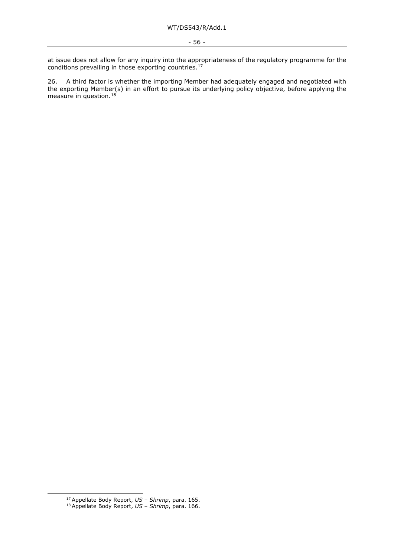at issue does not allow for any inquiry into the appropriateness of the regulatory programme for the conditions prevailing in those exporting countries.<sup>[17](#page-55-0)</sup>

26. A third factor is whether the importing Member had adequately engaged and negotiated with the exporting Member(s) in an effort to pursue its underlying policy objective, before applying the measure in question.<sup>[18](#page-55-1)</sup>

<sup>17</sup> Appellate Body Report, *US – Shrimp*, para. 165.

<span id="page-55-1"></span><span id="page-55-0"></span><sup>18</sup> Appellate Body Report, *US – Shrimp*, para. 166.